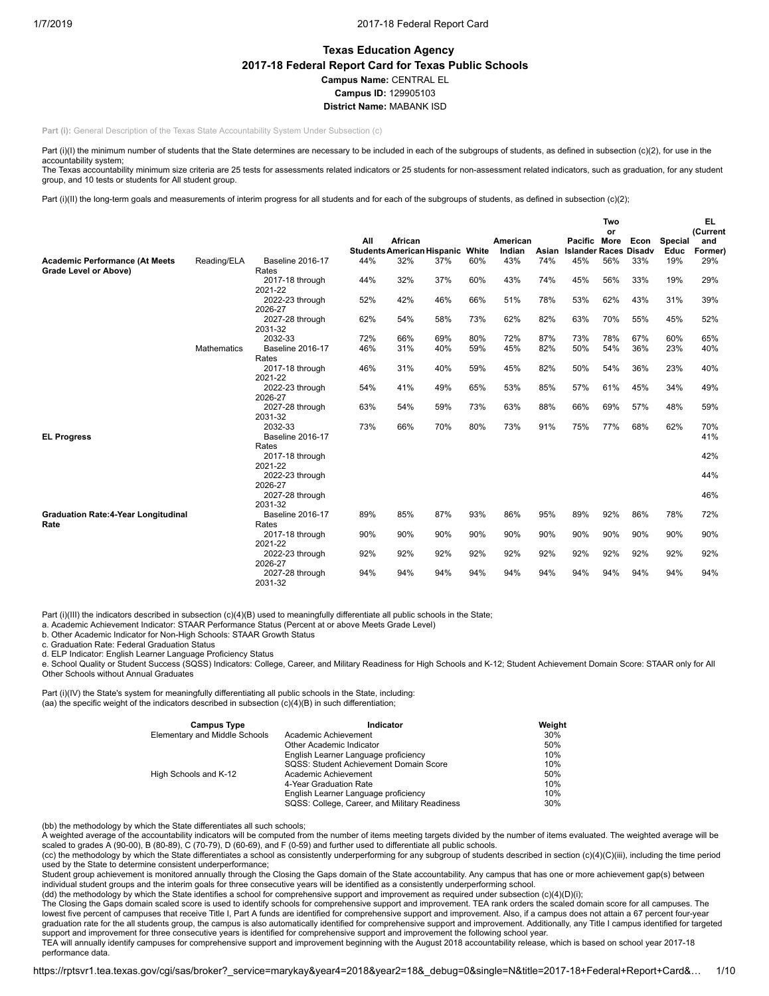# **Texas Education Agency 2017-18 Federal Report Card for Texas Public Schools Campus Name:** CENTRAL EL **Campus ID:** 129905103 **District Name:** MABANK ISD

**Part (i):** General Description of the Texas State Accountability System Under Subsection (c)

Part (i)(I) the minimum number of students that the State determines are necessary to be included in each of the subgroups of students, as defined in subsection (c)(2), for use in the accountability system;

The Texas accountability minimum size criteria are 25 tests for assessments related indicators or 25 students for non-assessment related indicators, such as graduation, for any student group, and 10 tests or students for All student group.

Part (i)(II) the long-term goals and measurements of interim progress for all students and for each of the subgroups of students, as defined in subsection (c)(2);

|                                            |             |                                  |     |                                              |     |       |                    |       | Two                                          |     |      | EL              |                |
|--------------------------------------------|-------------|----------------------------------|-----|----------------------------------------------|-----|-------|--------------------|-------|----------------------------------------------|-----|------|-----------------|----------------|
|                                            |             |                                  |     |                                              |     |       |                    |       |                                              | or  |      |                 | (Current       |
|                                            |             |                                  | All | African<br><b>Students American Hispanic</b> |     | White | American<br>Indian | Asian | Pacific More<br><b>Islander Races Disadv</b> |     | Econ | Special<br>Educ | and<br>Former) |
| <b>Academic Performance (At Meets</b>      | Reading/ELA | Baseline 2016-17                 | 44% | 32%                                          | 37% | 60%   | 43%                | 74%   | 45%                                          | 56% | 33%  | 19%             | 29%            |
| Grade Level or Above)                      |             | Rates                            |     |                                              |     |       |                    |       |                                              |     |      |                 |                |
|                                            |             | 2017-18 through<br>2021-22       | 44% | 32%                                          | 37% | 60%   | 43%                | 74%   | 45%                                          | 56% | 33%  | 19%             | 29%            |
|                                            |             | 2022-23 through                  | 52% | 42%                                          | 46% | 66%   | 51%                | 78%   | 53%                                          | 62% | 43%  | 31%             | 39%            |
|                                            |             | 2026-27                          |     |                                              |     |       |                    |       |                                              |     |      |                 |                |
|                                            |             | 2027-28 through<br>2031-32       | 62% | 54%                                          | 58% | 73%   | 62%                | 82%   | 63%                                          | 70% | 55%  | 45%             | 52%            |
|                                            |             | 2032-33                          | 72% | 66%                                          | 69% | 80%   | 72%                | 87%   | 73%                                          | 78% | 67%  | 60%             | 65%            |
|                                            | Mathematics | <b>Baseline 2016-17</b><br>Rates | 46% | 31%                                          | 40% | 59%   | 45%                | 82%   | 50%                                          | 54% | 36%  | 23%             | 40%            |
|                                            |             | 2017-18 through<br>2021-22       | 46% | 31%                                          | 40% | 59%   | 45%                | 82%   | 50%                                          | 54% | 36%  | 23%             | 40%            |
|                                            |             | 2022-23 through<br>2026-27       | 54% | 41%                                          | 49% | 65%   | 53%                | 85%   | 57%                                          | 61% | 45%  | 34%             | 49%            |
|                                            |             | 2027-28 through<br>2031-32       | 63% | 54%                                          | 59% | 73%   | 63%                | 88%   | 66%                                          | 69% | 57%  | 48%             | 59%            |
| <b>EL Progress</b>                         |             | 2032-33<br>Baseline 2016-17      | 73% | 66%                                          | 70% | 80%   | 73%                | 91%   | 75%                                          | 77% | 68%  | 62%             | 70%<br>41%     |
|                                            |             | Rates                            |     |                                              |     |       |                    |       |                                              |     |      |                 |                |
|                                            |             | 2017-18 through                  |     |                                              |     |       |                    |       |                                              |     |      |                 | 42%            |
|                                            |             | 2021-22<br>2022-23 through       |     |                                              |     |       |                    |       |                                              |     |      |                 | 44%            |
|                                            |             | 2026-27                          |     |                                              |     |       |                    |       |                                              |     |      |                 |                |
|                                            |             | 2027-28 through                  |     |                                              |     |       |                    |       |                                              |     |      |                 | 46%            |
|                                            |             | 2031-32                          |     |                                              |     |       |                    |       |                                              |     |      |                 |                |
| <b>Graduation Rate:4-Year Longitudinal</b> |             | <b>Baseline 2016-17</b>          | 89% | 85%                                          | 87% | 93%   | 86%                | 95%   | 89%                                          | 92% | 86%  | 78%             | 72%            |
| Rate                                       |             | Rates                            |     |                                              | 90% |       |                    |       | 90%                                          |     |      |                 |                |
|                                            |             | 2017-18 through<br>2021-22       | 90% | 90%                                          |     | 90%   | 90%                | 90%   |                                              | 90% | 90%  | 90%             | 90%            |
|                                            |             | 2022-23 through                  | 92% | 92%                                          | 92% | 92%   | 92%                | 92%   | 92%                                          | 92% | 92%  | 92%             | 92%            |
|                                            |             | 2026-27                          |     |                                              |     |       |                    |       |                                              |     |      |                 |                |
|                                            |             | 2027-28 through<br>2031-32       | 94% | 94%                                          | 94% | 94%   | 94%                | 94%   | 94%                                          | 94% | 94%  | 94%             | 94%            |

Part (i)(III) the indicators described in subsection (c)(4)(B) used to meaningfully differentiate all public schools in the State;

a. Academic Achievement Indicator: STAAR Performance Status (Percent at or above Meets Grade Level)

b. Other Academic Indicator for Non-High Schools: STAAR Growth Status

c. Graduation Rate: Federal Graduation Status

d. ELP Indicator: English Learner Language Proficiency Status

e. School Quality or Student Success (SQSS) Indicators: College, Career, and Military Readiness for High Schools and K-12; Student Achievement Domain Score: STAAR only for All Other Schools without Annual Graduates

Part (i)(IV) the State's system for meaningfully differentiating all public schools in the State, including: (aa) the specific weight of the indicators described in subsection (c)(4)(B) in such differentiation;

| <b>Campus Type</b>            | Indicator                                     | Weight |
|-------------------------------|-----------------------------------------------|--------|
| Elementary and Middle Schools | Academic Achievement                          | 30%    |
|                               | Other Academic Indicator                      | 50%    |
|                               | English Learner Language proficiency          | 10%    |
|                               | SQSS: Student Achievement Domain Score        | 10%    |
| High Schools and K-12         | Academic Achievement                          | 50%    |
|                               | 4-Year Graduation Rate                        | 10%    |
|                               | English Learner Language proficiency          | 10%    |
|                               | SQSS: College, Career, and Military Readiness | 30%    |

(bb) the methodology by which the State differentiates all such schools;

A weighted average of the accountability indicators will be computed from the number of items meeting targets divided by the number of items evaluated. The weighted average will be scaled to grades A (90-00), B (80-89), C (70-79), D (60-69), and F (0-59) and further used to differentiate all public schools.

(cc) the methodology by which the State differentiates a school as consistently underperforming for any subgroup of students described in section (c)(4)(C)(iii), including the time period used by the State to determine consistent underperformance;

Student group achievement is monitored annually through the Closing the Gaps domain of the State accountability. Any campus that has one or more achievement gap(s) between individual student groups and the interim goals for three consecutive years will be identified as a consistently underperforming school.<br>(dd) the methodology by which the State identifies a school for comprehensive support

The Closing the Gaps domain scaled score is used to identify schools for comprehensive support and improvement. TEA rank orders the scaled domain score for all campuses. The lowest five percent of campuses that receive Title I, Part A funds are identified for comprehensive support and improvement. Also, if a campus does not attain a 67 percent four-year graduation rate for the all students group, the campus is also automatically identified for comprehensive support and improvement. Additionally, any Title I campus identified for targeted support and improvement for three consecutive years is identified for comprehensive support and improvement the following school year.

TEA will annually identify campuses for comprehensive support and improvement beginning with the August 2018 accountability release, which is based on school year 2017-18 performance data.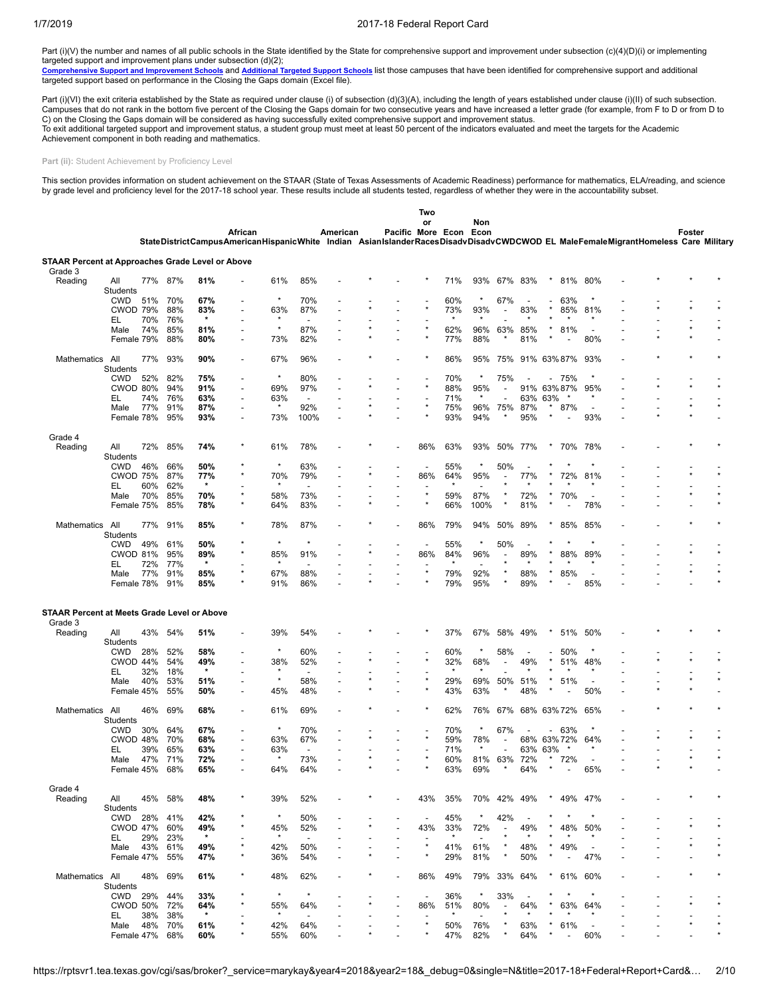Part (i)(V) the number and names of all public schools in the State identified by the State for comprehensive support and improvement under subsection (c)(4)(D)(i) or implementing

targeted support and improvement plans under subsection (d)(2);<br><u>[Comprehensive](https://tea.texas.gov/WorkArea/DownloadAsset.aspx?id=51539624659) Support and Improvement Schools</u> and <u>[Additional](https://tea.texas.gov/WorkArea/DownloadAsset.aspx?id=51539624660) Targeted Support Schools</u> list those campuses that have been identified for comprehensive supp

Part (i)(VI) the exit criteria established by the State as required under clause (i) of subsection (d)(3)(A), including the length of years established under clause (i)(II) of such subsection. Campuses that do not rank in the bottom five percent of the Closing the Gaps domain for two consecutive years and have increased a letter grade (for example, from F to D or from D to C) on the Closing the Gaps domain will be considered as having successfully exited comprehensive support and improvement status. To exit additional targeted support and improvement status, a student group must meet at least 50 percent of the indicators evaluated and meet the targets for the Academic Achievement component in both reading and mathematics.

Part (ii): Student Achievement by Proficiency Level

This section provides information on student achievement on the STAAR (State of Texas Assessments of Academic Readiness) performance for mathematics, ELA/reading, and science by grade level and proficiency level for the 2017-18 school year. These results include all students tested, regardless of whether they were in the accountability subset.

|                                                         |                        |         |         |         |                                                                                                                                             |                |                          |                          |                   | Two                      |         |                          |                          |                |         |                          |                          |  |        |  |
|---------------------------------------------------------|------------------------|---------|---------|---------|---------------------------------------------------------------------------------------------------------------------------------------------|----------------|--------------------------|--------------------------|-------------------|--------------------------|---------|--------------------------|--------------------------|----------------|---------|--------------------------|--------------------------|--|--------|--|
|                                                         |                        |         |         |         | African<br>StateDistrictCampusAmericanHispanicWhite Indian AsianIslanderRacesDisadvDisadvCWDCWOD EL MaleFemaleMigrantHomeless Care Military |                |                          | American                 | Pacific More Econ | or                       |         | Non<br>Econ              |                          |                |         |                          |                          |  | Foster |  |
| <b>STAAR Percent at Approaches Grade Level or Above</b> |                        |         |         |         |                                                                                                                                             |                |                          |                          |                   |                          |         |                          |                          |                |         |                          |                          |  |        |  |
| Grade 3                                                 |                        |         |         |         |                                                                                                                                             |                |                          |                          |                   |                          |         |                          |                          |                |         |                          |                          |  |        |  |
| Reading                                                 | All<br>Students        | 77% 87% |         | 81%     |                                                                                                                                             | 61%            | 85%                      |                          |                   |                          | 71%     | 93%                      | 67% 83%                  |                |         | 81%                      | 80%                      |  |        |  |
|                                                         | <b>CWD</b>             | 51%     | 70%     | 67%     |                                                                                                                                             |                | 70%                      |                          |                   |                          | 60%     |                          | 67%                      |                |         | 63%                      |                          |  |        |  |
|                                                         | <b>CWOD 79%</b>        |         | 88%     | 83%     | $\overline{a}$                                                                                                                              | 63%            | 87%                      |                          |                   |                          | 73%     | 93%                      | $\overline{a}$           | 83%            |         | 85%                      | 81%                      |  |        |  |
|                                                         | EL                     | 70%     | 76%     | $\star$ |                                                                                                                                             | ÷              |                          |                          |                   |                          |         | $\star$                  |                          |                |         |                          | $\star$                  |  |        |  |
|                                                         | Male                   | 74%     | 85%     | 81%     | $\overline{a}$                                                                                                                              | $\star$        | 87%                      | $\overline{\phantom{a}}$ |                   |                          | 62%     | 96%                      | 63%                      | 85%            |         | 81%                      |                          |  |        |  |
|                                                         | Female 79%             |         | 88%     | 80%     | ÷                                                                                                                                           | 73%            | 82%                      | $\overline{a}$           |                   | $\star$                  | 77%     | 88%                      |                          | 81%            |         |                          | 80%                      |  |        |  |
| <b>Mathematics</b>                                      | All                    | 77%     | 93%     | 90%     | ٠                                                                                                                                           | 67%            | 96%                      |                          |                   |                          | 86%     | 95%                      | 75%                      | 91% 63% 87%    |         |                          | 93%                      |  |        |  |
|                                                         | Students               |         |         |         |                                                                                                                                             |                |                          |                          |                   |                          |         |                          |                          |                |         |                          |                          |  |        |  |
|                                                         | <b>CWD</b>             | 52%     | 82%     | 75%     | $\overline{\phantom{a}}$                                                                                                                    | $\star$        | 80%                      |                          |                   |                          | 70%     |                          | 75%                      |                |         | 75%                      |                          |  |        |  |
|                                                         | CWOD 80%               |         | 94%     | 91%     | $\overline{\phantom{a}}$                                                                                                                    | 69%            | 97%                      |                          |                   | $\star$                  | 88%     | 95%                      | $\overline{\phantom{a}}$ | 91%            |         | 63%87%                   | 95%                      |  |        |  |
|                                                         | EL                     | 74%     | 76%     | 63%     | ÷                                                                                                                                           | 63%            | $\overline{\phantom{a}}$ |                          |                   |                          | 71%     | $\star$                  |                          | 63%            | 63%     |                          |                          |  |        |  |
|                                                         | Male                   | 77%     | 91%     | 87%     | $\overline{\phantom{a}}$                                                                                                                    |                | 92%                      | $\overline{a}$           |                   |                          | 75%     | 96%                      | 75%                      | 87%            |         | 87%                      | $\overline{\phantom{a}}$ |  |        |  |
|                                                         | Female 78%             |         | 95%     | 93%     |                                                                                                                                             | 73%            | 100%                     |                          |                   |                          | 93%     | 94%                      |                          | 95%            |         |                          | 93%                      |  |        |  |
|                                                         |                        |         |         |         |                                                                                                                                             |                |                          |                          |                   |                          |         |                          |                          |                |         |                          |                          |  |        |  |
| Grade 4                                                 |                        |         |         |         |                                                                                                                                             |                |                          |                          |                   |                          |         |                          |                          |                |         |                          |                          |  |        |  |
| Reading                                                 | All<br>Students        | 72%     | 85%     | 74%     |                                                                                                                                             | 61%            | 78%                      |                          |                   | 86%                      | 63%     | 93%                      | 50%                      | 77%            |         | 70%                      | 78%                      |  |        |  |
|                                                         | <b>CWD</b>             | 46%     | 66%     | 50%     |                                                                                                                                             | $\star$        | 63%                      |                          |                   |                          | 55%     | $\star$                  | 50%                      |                |         |                          |                          |  |        |  |
|                                                         | <b>CWOD 75%</b>        |         | 87%     | 77%     |                                                                                                                                             | 70%            | 79%                      |                          |                   | 86%                      | 64%     | 95%                      |                          | 77%            |         | 72%                      | 81%                      |  |        |  |
|                                                         | EL                     | 60%     | 62%     | $\star$ |                                                                                                                                             |                |                          |                          |                   |                          |         |                          |                          |                |         |                          |                          |  |        |  |
|                                                         | Male                   | 70%     | 85%     | 70%     | $\star$                                                                                                                                     | 58%            | 73%                      | $\overline{\phantom{a}}$ |                   | $\star$                  | 59%     | 87%                      |                          | 72%            |         | 70%                      |                          |  |        |  |
|                                                         | Female 75%             |         | 85%     | 78%     | ×                                                                                                                                           | 64%            | 83%                      | $\overline{a}$           |                   | $\star$                  | 66%     | 100%                     |                          | 81%            |         |                          | 78%                      |  |        |  |
|                                                         |                        | 77%     | 91%     |         |                                                                                                                                             |                |                          |                          |                   |                          |         |                          | 50%                      |                |         |                          |                          |  |        |  |
| Mathematics                                             | All<br>Students        |         |         | 85%     |                                                                                                                                             | 78%<br>$\star$ | 87%<br>$\star$           |                          |                   | 86%                      | 79%     | 94%                      |                          | 89%            |         | 85%                      | 85%                      |  |        |  |
|                                                         | <b>CWD</b>             | 49%     | 61%     | 50%     | ÷                                                                                                                                           |                |                          |                          |                   | $\overline{\phantom{a}}$ | 55%     | $\star$                  | 50%                      | ٠              |         |                          |                          |  |        |  |
|                                                         | <b>CWOD 81%</b>        |         | 95%     | 89%     |                                                                                                                                             | 85%            | 91%                      |                          |                   | 86%                      | 84%     | 96%                      |                          | 89%            |         | 88%                      | 89%                      |  |        |  |
|                                                         | EL                     | 72%     | 77%     | $\star$ |                                                                                                                                             |                |                          |                          |                   | $\star$                  |         |                          |                          |                |         |                          |                          |  |        |  |
|                                                         | Male                   | 77%     | 91%     | 85%     |                                                                                                                                             | 67%            | 88%                      |                          |                   |                          | 79%     | 92%                      |                          | 88%            |         | 85%                      |                          |  |        |  |
|                                                         | Female 78%             |         | 91%     | 85%     | $\star$                                                                                                                                     | 91%            | 86%                      |                          |                   | $\star$                  | 79%     | 95%                      | $\star$                  | 89%            |         |                          | 85%                      |  |        |  |
| <b>STAAR Percent at Meets Grade Level or Above</b>      |                        |         |         |         |                                                                                                                                             |                |                          |                          |                   |                          |         |                          |                          |                |         |                          |                          |  |        |  |
| Grade 3                                                 |                        |         |         |         |                                                                                                                                             |                |                          |                          |                   |                          |         |                          |                          |                |         |                          |                          |  |        |  |
| Reading                                                 | All<br>Students        |         | 43% 54% | 51%     |                                                                                                                                             | 39%            | 54%                      |                          |                   |                          | 37%     | 67%                      | 58%                      | 49%            |         | 51%                      | 50%                      |  |        |  |
|                                                         | <b>CWD</b>             | 28%     | 52%     | 58%     | ٠                                                                                                                                           | $\star$        | 60%                      |                          |                   |                          | 60%     | $\star$                  | 58%                      | $\overline{a}$ |         | 50%                      |                          |  |        |  |
|                                                         | CWOD 44%               |         | 54%     | 49%     |                                                                                                                                             | 38%            | 52%                      |                          |                   | $\star$                  | 32%     | 68%                      |                          | 49%            |         | 51%                      | 48%                      |  |        |  |
|                                                         | EL                     | 32%     | 18%     | $\star$ | ٠                                                                                                                                           |                |                          |                          |                   |                          |         |                          |                          |                |         |                          |                          |  |        |  |
|                                                         | Male                   | 40%     | 53%     | 51%     | ÷                                                                                                                                           |                | 58%                      |                          |                   |                          | 29%     | 69%                      | 50%                      | 51%            |         | 51%                      |                          |  |        |  |
|                                                         | Female 45%             |         | 55%     | 50%     | ٠                                                                                                                                           | 45%            | 48%                      | $\overline{\phantom{a}}$ |                   | $\star$                  | 43%     | 63%                      | $\star$                  | 48%            |         |                          | 50%                      |  |        |  |
| Mathematics All                                         |                        | 46%     | 69%     | 68%     |                                                                                                                                             | 61%            | 69%                      |                          |                   |                          | 62%     | 76%                      | 67%                      | 68%            |         | 63%72%                   | 65%                      |  |        |  |
|                                                         | Students<br><b>CWD</b> | 30%     | 64%     | 67%     |                                                                                                                                             | $\star$        | 70%                      |                          |                   |                          | 70%     | $\star$                  | 67%                      |                |         | 63%                      |                          |  |        |  |
|                                                         | CWOD 48%               |         | 70%     | 68%     | $\overline{\phantom{a}}$                                                                                                                    | 63%            | 67%                      |                          |                   | $\star$                  | 59%     | 78%                      |                          | 68%            |         | 63%72%                   | 64%                      |  |        |  |
|                                                         | EL                     | 39%     | 65%     | 63%     |                                                                                                                                             | 63%            |                          |                          |                   |                          | 71%     |                          |                          | 63%            | 63%     |                          |                          |  |        |  |
|                                                         | Male                   | 47%     | 71%     | 72%     |                                                                                                                                             | $\star$        | 73%                      |                          |                   | $\star$                  | 60%     | 81%                      | 63%                      | 72%            | *       | 72%                      |                          |  |        |  |
|                                                         | Female 45%             |         | 68%     | 65%     |                                                                                                                                             | 64%            | 64%                      |                          |                   | $\star$                  | 63%     | 69%                      | $\star$                  | 64%            | $\star$ |                          | 65%                      |  |        |  |
|                                                         |                        |         |         |         |                                                                                                                                             |                |                          |                          |                   |                          |         |                          |                          |                |         |                          |                          |  |        |  |
| Grade 4<br>Reading                                      | All                    |         | 45% 58% | 48%     | $\star$                                                                                                                                     | 39%            | 52%                      |                          |                   | 43%                      | 35%     |                          |                          | 70% 42% 49%    |         | * $49%$                  | 47%                      |  |        |  |
|                                                         | Students               |         |         |         |                                                                                                                                             |                |                          |                          |                   |                          |         |                          |                          |                |         |                          |                          |  |        |  |
|                                                         | CWD                    |         | 28% 41% | 42%     |                                                                                                                                             | $\star$        | 50%                      |                          |                   |                          | 45%     | $\star$                  | 42%                      |                |         |                          |                          |  |        |  |
|                                                         | <b>CWOD 47%</b>        |         | 60%     | 49%     | ×                                                                                                                                           | 45%            | 52%                      |                          |                   | 43%                      | 33%     | 72%                      | $\overline{\phantom{a}}$ | 49%            |         | 48%                      | 50%                      |  |        |  |
|                                                         | EL                     | 29%     | 23%     | $\star$ |                                                                                                                                             |                | $\overline{\phantom{a}}$ |                          |                   |                          | $\star$ | $\overline{\phantom{a}}$ |                          |                |         |                          |                          |  |        |  |
|                                                         | Male                   | 43%     | 61%     | 49%     | $\star$                                                                                                                                     | 42%            | 50%                      |                          |                   | $\star$                  | 41%     | 61%                      |                          | 48%            |         | 49%                      | $\overline{\phantom{a}}$ |  |        |  |
|                                                         | Female 47%             |         | 55%     | 47%     |                                                                                                                                             | 36%            | 54%                      |                          |                   | $\star$                  | 29%     | 81%                      | $^\star$                 | 50%            |         | $\overline{\phantom{a}}$ | 47%                      |  |        |  |
| Mathematics All                                         | <b>Students</b>        | 48%     | 69%     | 61%     |                                                                                                                                             | 48%            | 62%                      |                          |                   | 86%                      | 49%     |                          | 79% 33% 64%              |                |         | 61%                      | 60%                      |  |        |  |
|                                                         | <b>CWD</b>             | 29%     | 44%     | 33%     |                                                                                                                                             | $\star$        | $\star$                  |                          |                   | $\overline{\phantom{a}}$ | 36%     | $^\star$                 | 33%                      |                |         |                          |                          |  |        |  |
|                                                         | CWOD 50%               |         | 72%     | 64%     |                                                                                                                                             | 55%            | 64%                      |                          |                   | 86%                      | 51%     | 80%                      | $\overline{a}$           | 64%            |         |                          | 63% 64%                  |  |        |  |
|                                                         | EL                     | 38%     | 38%     | $\star$ |                                                                                                                                             | $\star$        |                          |                          |                   |                          | $\star$ |                          |                          |                |         |                          |                          |  |        |  |
|                                                         | Male                   | 48%     | 70%     | 61%     |                                                                                                                                             | 42%            | 64%                      |                          |                   | $\star$                  | 50%     | 76%                      |                          | 63%            |         | 61%                      |                          |  |        |  |
|                                                         | Female 47% 68%         |         |         | 60%     |                                                                                                                                             | 55%            | 60%                      |                          |                   |                          | 47%     | 82%                      | $\star$                  | 64%            |         | $\overline{\phantom{a}}$ | 60%                      |  |        |  |
|                                                         |                        |         |         |         |                                                                                                                                             |                |                          |                          |                   |                          |         |                          |                          |                |         |                          |                          |  |        |  |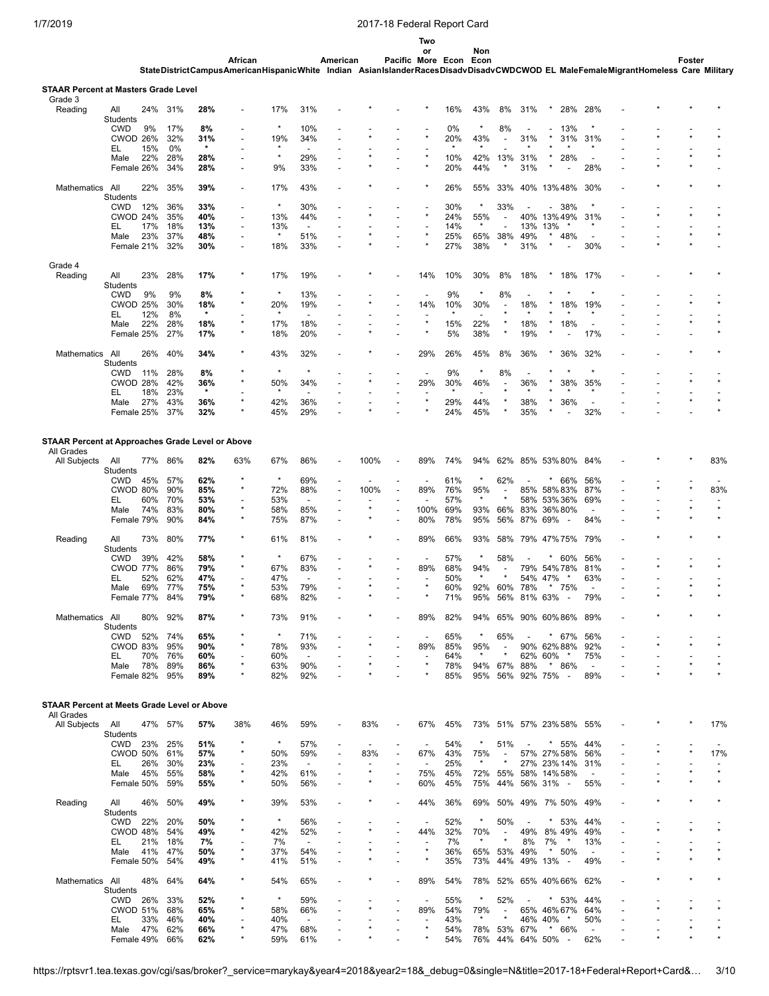**Two or Non**

African American Pacific More Econ Econ<br>StateDistrictCampusAmericanHispanicWhite Indian AsianIslanderRacesDisadvDisadvCWDCWOD EL MaleFemaleMigrantHomeless Care Military

| Grade 3                                                               |                               |            |            |                |                                            |            |                                 |                               |         |                          |            |                |                          |                          |                                            |                                 |  |         |
|-----------------------------------------------------------------------|-------------------------------|------------|------------|----------------|--------------------------------------------|------------|---------------------------------|-------------------------------|---------|--------------------------|------------|----------------|--------------------------|--------------------------|--------------------------------------------|---------------------------------|--|---------|
| Reading                                                               | All<br>Students               | 24%        | 31%        | 28%            |                                            | 17%        | 31%                             |                               |         |                          | 16%        | 43%            | 8%                       | 31%                      | 28%                                        | 28%                             |  |         |
|                                                                       | <b>CWD</b>                    | 9%         | 17%        | 8%             |                                            | $\star$    | 10%                             |                               |         |                          | 0%         | $\star$        | 8%                       |                          | 13%<br>$\overline{\phantom{0}}$            | ×                               |  |         |
|                                                                       | CWOD 26%                      |            | 32%        | 31%            |                                            | 19%        | 34%                             |                               |         |                          | 20%        | 43%            |                          | 31%                      | 31%                                        | 31%                             |  |         |
|                                                                       | EL<br>Male                    | 15%<br>22% | 0%<br>28%  | $\star$<br>28% |                                            | $\star$    | 29%                             |                               |         |                          | 10%        | 42%            | 13%                      | 31%                      | 28%                                        | $\overline{\phantom{a}}$        |  |         |
|                                                                       | Female 26%                    |            | 34%        | 28%            |                                            | 9%         | 33%                             |                               |         |                          | 20%        | 44%            |                          | 31%                      |                                            | 28%                             |  |         |
| Mathematics                                                           | All                           | 22%        | 35%        | 39%            |                                            | 17%        | 43%                             |                               |         |                          | 26%        | 55%            | 33%                      | 40%                      | 13%48%                                     | 30%                             |  |         |
|                                                                       | Students                      |            |            |                |                                            |            |                                 |                               |         |                          |            |                |                          |                          |                                            |                                 |  |         |
|                                                                       | <b>CWD</b>                    | 12%        | 36%        | 33%            |                                            | $\star$    | 30%                             |                               |         |                          | 30%        |                | 33%                      |                          | 38%<br>$\overline{\phantom{a}}$            |                                 |  |         |
|                                                                       | CWOD 24%<br>EL                | 17%        | 35%<br>18% | 40%<br>13%     | $\overline{a}$<br>$\overline{\phantom{a}}$ | 13%<br>13% | 44%<br>$\overline{\phantom{a}}$ |                               |         |                          | 24%<br>14% | 55%<br>$\star$ |                          | 40%<br>13%               | 13%49%<br>13%<br>$\star$                   | 31%<br>$\star$                  |  |         |
|                                                                       | Male                          | 23%        | 37%        | 48%            | $\overline{\phantom{a}}$                   | $\star$    | 51%                             | $\overline{a}$                |         |                          | 25%        | 65%            | 38%                      | 49%                      | 48%                                        | $\overline{a}$                  |  |         |
|                                                                       | Female 21%                    |            | 32%        | 30%            | $\overline{a}$                             | 18%        | 33%                             |                               |         |                          | 27%        | 38%            |                          | 31%                      |                                            | 30%                             |  |         |
| Grade 4                                                               |                               |            |            |                |                                            |            |                                 |                               |         |                          |            |                |                          |                          |                                            |                                 |  |         |
| Reading                                                               | All                           | 23%        | 28%        | 17%            |                                            | 17%        | 19%                             |                               |         | 14%                      | 10%        | 30%            | 8%                       | 18%                      | *<br>18%                                   | 17%                             |  |         |
|                                                                       | Students<br><b>CWD</b>        | 9%         | 9%         | 8%             |                                            | $\star$    | 13%                             |                               |         | $\overline{\phantom{a}}$ | 9%         | $\star$        | 8%                       |                          | $\star$                                    | ×                               |  |         |
|                                                                       | <b>CWOD 25%</b>               |            | 30%        | 18%            |                                            | 20%        | 19%                             |                               |         | 14%                      | 10%        | 30%            |                          | 18%                      | 18%                                        | 19%                             |  |         |
|                                                                       | EL                            | 12%        | 8%         | $\star$        |                                            |            |                                 |                               |         |                          |            |                |                          |                          |                                            |                                 |  |         |
|                                                                       | Male                          | 22%        | 28%        | 18%            | $\star$                                    | 17%        | 18%                             |                               |         |                          | 15%        | 22%            | $\star$                  | 18%                      | 18%                                        | $\overline{\phantom{a}}$        |  |         |
|                                                                       | Female 25%                    |            | 27%        | 17%            |                                            | 18%        | 20%                             | $\overline{a}$                |         |                          | 5%         | 38%            |                          | 19%                      |                                            | 17%                             |  |         |
| Mathematics                                                           | All                           | 26%        | 40%        | 34%            |                                            | 43%        | 32%                             |                               |         | 29%                      | 26%        | 45%            | 8%                       | 36%                      | 36%                                        | 32%                             |  |         |
|                                                                       | <b>Students</b><br><b>CWD</b> | 11%        | 28%        | 8%             |                                            | $\star$    |                                 |                               |         |                          | 9%         | $\star$        | 8%                       |                          |                                            |                                 |  |         |
|                                                                       | CWOD 28%                      |            | 42%        | 36%            |                                            | 50%        | 34%                             |                               |         | 29%                      | 30%        | 46%            | $\blacksquare$           | 36%                      | 38%                                        | 35%                             |  |         |
|                                                                       | EL                            | 18%        | 23%        | $\star$        |                                            | $\star$    |                                 |                               |         |                          | $\star$    | $\overline{a}$ |                          |                          |                                            | $\star$                         |  |         |
|                                                                       | Male                          | 27%        | 43%        | 36%            |                                            | 42%        | 36%                             | ÷,                            |         | $\star$                  | 29%        | 44%            |                          | 38%                      | 36%                                        | ÷                               |  |         |
|                                                                       | Female 25%                    |            | 37%        | 32%            |                                            | 45%        | 29%                             |                               |         |                          | 24%        | 45%            |                          | 35%                      |                                            | 32%                             |  |         |
|                                                                       |                               |            |            |                |                                            |            |                                 |                               |         |                          |            |                |                          |                          |                                            |                                 |  |         |
| <b>STAAR Percent at Approaches Grade Level or Above</b><br>All Grades |                               |            |            |                |                                            |            |                                 |                               |         |                          |            |                |                          |                          |                                            |                                 |  |         |
| All Subjects                                                          | All                           | 77%        | 86%        | 82%            | 63%                                        | 67%        | 86%                             |                               | 100%    | 89%                      | 74%        | 94%            | 62%                      |                          | 85% 53% 80%                                | 84%                             |  | 83%     |
|                                                                       | <b>Students</b><br><b>CWD</b> | 45%        | 57%        | 62%            | $\star$                                    | $\star$    | 69%                             | ÷,                            |         |                          | 61%        | *              | 62%                      |                          | *<br>66%                                   | 56%                             |  |         |
|                                                                       | CWOD 80%                      |            | 90%        | 85%            | $\star$                                    | 72%        | 88%                             | ÷                             | 100%    | 89%                      | 76%        | 95%            | $\blacksquare$           |                          | 85% 58% 83%                                | 87%                             |  | 83%     |
|                                                                       | EL                            | 60%        | 70%        | 53%            | $\overline{\phantom{a}}$                   | 53%        | $\overline{\phantom{a}}$        | ٠                             |         |                          | 57%        | $\star$        |                          | 58%                      | 53%36%                                     | 69%                             |  |         |
|                                                                       | Male                          | 74%        | 83%        | 80%            | $\star$                                    | 58%        | 85%                             |                               |         | 100%                     | 69%        | 93%            | 66%                      | 83%                      | 36%80%                                     |                                 |  |         |
|                                                                       | Female 79%                    |            | 90%        | 84%            |                                            | 75%        | 87%                             |                               |         | 80%                      | 78%        | 95%            | 56%                      | 87%                      | 69%<br>$\overline{\phantom{a}}$            | 84%                             |  |         |
| Reading                                                               | All<br>Students               | 73%        | 80%        | 77%            |                                            | 61%        | 81%                             |                               |         | 89%                      | 66%        | 93%            | 58%                      |                          | 79% 47%75%                                 | 79%                             |  |         |
|                                                                       | <b>CWD</b>                    | 39%        | 42%        | 58%            |                                            | $\star$    | 67%                             |                               |         |                          | 57%        | ×              | 58%                      |                          | $^{\star}$<br>60%                          | 56%                             |  |         |
|                                                                       | <b>CWOD 77%</b>               |            | 86%        | 79%            | $\star$                                    | 67%        | 83%                             | ÷,                            |         | 89%                      | 68%        | 94%            | $\overline{\phantom{a}}$ |                          | 79% 54% 78%                                | 81%                             |  |         |
|                                                                       | EL                            | 52%        | 62%        | 47%            | $\star$                                    | 47%        | $\overline{\phantom{a}}$        |                               |         | $\star$                  | 50%        | $\star$        |                          | 54%                      | 47%<br>$\ast$<br>*                         | 63%                             |  |         |
|                                                                       | Male<br>Female 77%            | 69%        | 77%<br>84% | 75%<br>79%     |                                            | 53%<br>68% | 79%<br>82%                      | ٠<br>$\overline{\phantom{a}}$ |         |                          | 60%<br>71% | 92%<br>95%     | 60%<br>56%               | 78%                      | 75%<br>81% 63%<br>$\overline{\phantom{a}}$ | $\overline{\phantom{a}}$<br>79% |  |         |
| Mathematics                                                           | All                           | 80%        | 92%        | 87%            |                                            | 73%        | 91%                             |                               |         | 89%                      | 82%        | 94%            | 65%                      |                          | 90% 60% 86%                                | 89%                             |  |         |
|                                                                       | <b>Students</b>               |            |            |                |                                            |            |                                 |                               |         |                          |            |                |                          |                          |                                            |                                 |  |         |
|                                                                       | <b>CWD</b>                    | 52%        | 74%        | 65%            |                                            | $\star$    | 71%                             |                               |         |                          | 65%        |                | 65%                      |                          | *<br>67%                                   | 56%                             |  |         |
|                                                                       | CWOD 83%                      |            | 95%        | 90%            |                                            | 78%        | 93%                             |                               |         | 89%                      | 85%        | 95%            | $\overline{\phantom{a}}$ |                          | 90% 62% 88%                                | 92%                             |  |         |
|                                                                       | EL                            | 70%        | 76%        | 60%            |                                            | 60%        | $\overline{\phantom{a}}$        |                               |         |                          | 64%        | $\star$        | $\star$                  |                          | 62% 60%<br>$\star$<br>$\star$              | 75%                             |  |         |
|                                                                       | Male<br>Female 82%            | 78%        | 89%<br>95% | 86%<br>89%     |                                            | 63%<br>82% | 90%<br>92%                      | ÷,                            |         |                          | 78%<br>85% | 94%<br>95%     | 67%<br>56%               | 88%                      | 86%<br>92% 75%<br>$\overline{\phantom{a}}$ | $\overline{\phantom{a}}$<br>89% |  |         |
|                                                                       |                               |            |            |                |                                            |            |                                 |                               |         |                          |            |                |                          |                          |                                            |                                 |  |         |
| STAAR Percent at Meets Grade Level or Above                           |                               |            |            |                |                                            |            |                                 |                               |         |                          |            |                |                          |                          |                                            |                                 |  |         |
| All Grades<br>All Subjects                                            | All                           |            | 47% 57%    | 57%            | 38%                                        | 46%        | 59%                             |                               | 83%     | 67%                      | 45%        | 73%            |                          |                          | 51% 57% 23% 58%                            | 55%                             |  | 17%     |
|                                                                       | Students                      |            |            |                |                                            |            |                                 |                               |         |                          |            |                |                          |                          |                                            |                                 |  |         |
|                                                                       | CWD                           | 23%        | 25%        | 51%            |                                            | $\star$    | 57%                             |                               |         | $\overline{\phantom{a}}$ | 54%        | *              | 51%                      | $\overline{\phantom{a}}$ | $* 55%$                                    | 44%                             |  |         |
|                                                                       | <b>CWOD 50%</b>               |            | 61%        | 57%            |                                            | 50%        | 59%                             | ÷,                            | 83%     | 67%                      | 43%        | 75%            | $\overline{\phantom{a}}$ |                          | 57% 27% 58%                                | 56%                             |  | 17%     |
|                                                                       | EL                            | 26%        | 30%        | 23%            |                                            | 23%        | $\blacksquare$                  | $\overline{\phantom{a}}$      | $\star$ | $\overline{\phantom{a}}$ | 25%        | $\star$        | $\star$                  |                          | 27% 23% 14%                                | 31%                             |  | $\star$ |
|                                                                       | Male<br>Female 50%            | 45%        | 55%<br>59% | 58%<br>55%     |                                            | 42%<br>50% | 61%<br>56%                      |                               |         | 75%<br>60%               | 45%<br>45% | 72%<br>75%     | 55%<br>44%               |                          | 58% 14% 58%<br>56% 31%<br>$\sim$           | $\overline{a}$<br>55%           |  |         |
|                                                                       |                               |            |            |                |                                            |            |                                 |                               |         |                          |            |                |                          |                          |                                            |                                 |  |         |
| Reading                                                               | All<br>Students               | 46%        | 50%        | 49%            |                                            | 39%        | 53%                             |                               |         | 44%                      | 36%        | 69%            |                          |                          | 50% 49% 7% 50%                             | 49%                             |  |         |
|                                                                       | CWD                           | 22%        | 20%        | 50%            |                                            | $\star$    | 56%                             |                               |         | $\overline{\phantom{a}}$ | 52%        | $^\star$       | 50%                      | $\overline{\phantom{a}}$ | $* 53%$                                    | 44%                             |  |         |
|                                                                       | CWOD 48%                      |            | 54%        | 49%            |                                            | 42%        | 52%                             | Ĭ.                            |         | 44%                      | 32%        | 70%            | $\overline{\phantom{a}}$ | 49%                      | 8% 49%                                     | 49%                             |  |         |
|                                                                       | EL                            | 21%        | 18%        | 7%             |                                            | 7%         | $\overline{\phantom{a}}$        |                               |         | $\star$                  | 7%         | $\star$        |                          | 8%                       | $\star$<br>7%                              | 13%                             |  |         |
|                                                                       | Male<br>Female 50%            | 41%        | 47%<br>54% | 50%<br>49%     |                                            | 37%<br>41% | 54%<br>51%                      |                               |         | $\star$                  | 36%<br>35% | 73%            | 65% 53%<br>44%           | 49%                      | $\star$<br>50%<br>49% 13%<br>$\sim$        | $\overline{a}$<br>49%           |  |         |
|                                                                       |                               |            |            |                |                                            |            |                                 |                               |         |                          |            |                |                          |                          |                                            |                                 |  |         |
| Mathematics All                                                       |                               | 48%        | 64%        | 64%            |                                            | 54%        | 65%                             |                               |         | 89%                      | 54%        | 78%            |                          |                          | 52% 65% 40% 66%                            | 62%                             |  |         |
|                                                                       | Students<br>CWD               | 26%        | 33%        | 52%            |                                            | $\star$    | 59%                             |                               |         | $\overline{\phantom{a}}$ | 55%        | $^\star$       | 52%                      |                          | $* 53%$                                    | 44%                             |  |         |
|                                                                       | <b>CWOD 51%</b>               |            | 68%        | 65%            |                                            | 58%        | 66%                             |                               |         | 89%                      | 54%        | 79%            | $\overline{\phantom{a}}$ |                          | 65% 46% 67%                                | 64%                             |  |         |
|                                                                       | EL                            | 33%        | 46%        | 40%            |                                            | 40%        | $\overline{\phantom{a}}$        |                               |         | $\overline{\phantom{a}}$ | 43%        | $\star$        | $\star$                  |                          | 46% 40%<br>$^\star$                        | 50%                             |  |         |
|                                                                       |                               |            |            |                |                                            |            |                                 |                               |         |                          |            |                |                          |                          |                                            |                                 |  |         |
|                                                                       | Male<br>Female 49% 66%        | 47%        | 62%        | 66%<br>62%     |                                            | 47%<br>59% | 68%<br>61%                      |                               |         |                          | 54%<br>54% | 78%            | 53%                      | 67%                      | $* 66%$<br>76% 44% 64% 50% -               | $\overline{\phantom{a}}$<br>62% |  |         |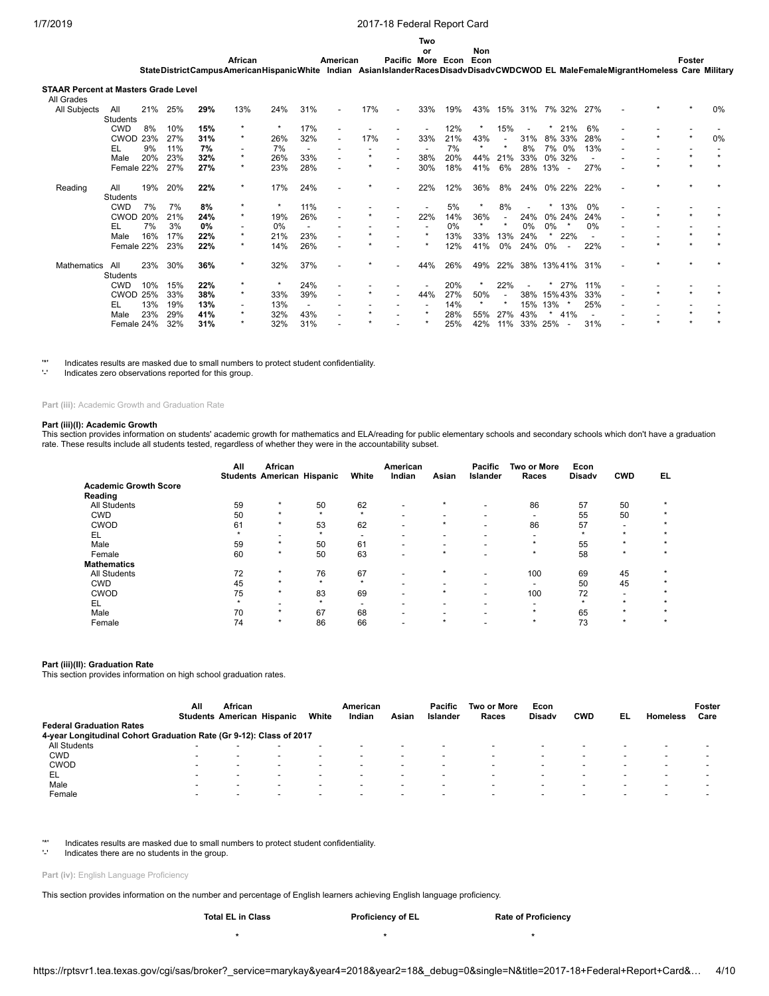**or Non**

**StateDistrictCampus AmericanHispanicWhite Indian Asian Islander Races Disadv DisadvCWDCWOD EL MaleFemaleMigrantHomeless Care Military African American Pacific More Econ Econ Foster**

### **STAAR Percent at Masters Grade Level**

| All Grades   |                 |     |     |     |                          |         |     |                          |         |                          |     |     |         |                          |         |                                 |     |  |       |
|--------------|-----------------|-----|-----|-----|--------------------------|---------|-----|--------------------------|---------|--------------------------|-----|-----|---------|--------------------------|---------|---------------------------------|-----|--|-------|
| All Subjects | All             | 21% | 25% | 29% | 13%                      | 24%     | 31% | $\blacksquare$           | 17%     | $\blacksquare$           | 33% | 19% | 43%     |                          | 15% 31% | 7% 32% 27%                      |     |  | 0%    |
|              | <b>Students</b> |     |     |     |                          |         |     |                          |         |                          |     |     |         |                          |         |                                 |     |  |       |
|              | <b>CWD</b>      | 8%  | 10% | 15% | $\star$                  |         | 17% |                          |         |                          |     | 12% |         | 15%                      |         | 21%                             | 6%  |  |       |
|              | <b>CWOD</b>     | 23% | 27% | 31% | $\star$                  | 26%     | 32% | $\overline{\phantom{a}}$ | 17%     |                          | 33% | 21% | 43%     | $\overline{\phantom{a}}$ | 31%     | 8% 33%                          | 28% |  | $0\%$ |
|              | EL              | 9%  | 11% | 7%  |                          | 7%      |     |                          |         |                          |     | 7%  |         | $\star$                  | 8%      | 7% 0%                           | 13% |  |       |
|              | Male            | 20% | 23% | 32% | $\star$                  | 26%     | 33% |                          | $\star$ |                          | 38% | 20% | 44%     | 21%                      | 33%     | 0% 32%                          |     |  |       |
|              | Female 22%      |     | 27% | 27% | $\star$                  | 23%     | 28% |                          | $\star$ |                          | 30% | 18% | 41%     | 6%                       | 28%     | 13%<br>$\overline{\phantom{a}}$ | 27% |  |       |
| Reading      | All             | 19% | 20% | 22% | $\star$                  | 17%     | 24% |                          | *       | $\overline{\phantom{a}}$ | 22% | 12% | 36%     | 8%                       |         | 24% 0% 22% 22%                  |     |  |       |
|              | Students        |     |     |     |                          |         |     |                          |         |                          |     |     |         |                          |         |                                 |     |  |       |
|              | <b>CWD</b>      | 7%  | 7%  | 8%  | $\star$                  | $\star$ | 11% |                          |         |                          |     | 5%  |         | 8%                       |         | 13%                             | 0%  |  |       |
|              | <b>CWOD</b>     | 20% | 21% | 24% | $\star$                  | 19%     | 26% | $\overline{\phantom{a}}$ |         |                          | 22% | 14% | 36%     | $\overline{\phantom{a}}$ | 24%     | 0% 24%                          | 24% |  |       |
|              | EL              | 7%  | 3%  | 0%  | $\overline{\phantom{0}}$ | 0%      |     |                          |         |                          |     | 0%  |         | $\star$                  | $0\%$   | $0\%$                           | 0%  |  |       |
|              | Male            | 16% | 17% | 22% | $\star$                  | 21%     | 23% | $\overline{\phantom{a}}$ |         |                          |     | 13% | 33%     | 13%                      | 24%     | 22%                             |     |  |       |
|              | Female 22%      |     | 23% | 22% | $\star$                  | 14%     | 26% | $\overline{\phantom{a}}$ |         |                          |     | 12% | 41%     | 0%                       | 24%     | 0%                              | 22% |  |       |
| Mathematics  | All             | 23% | 30% | 36% | $\star$                  | 32%     | 37% |                          |         | $\overline{\phantom{a}}$ | 44% | 26% | 49%     | 22%                      |         | 38% 13% 41% 31%                 |     |  |       |
|              | Students        |     |     |     |                          |         |     |                          |         |                          |     |     |         |                          |         |                                 |     |  |       |
|              | <b>CWD</b>      | 10% | 15% | 22% | $\star$                  |         | 24% | $\overline{\phantom{0}}$ |         |                          |     | 20% |         | 22%                      |         | 27%                             | 11% |  |       |
|              | <b>CWOD</b>     | 25% | 33% | 38% | $\star$                  | 33%     | 39% |                          |         |                          | 44% | 27% | 50%     | $\overline{\phantom{a}}$ | 38%     | 15% 43%                         | 33% |  |       |
|              | EL              | 13% | 19% | 13% |                          | 13%     |     |                          |         |                          |     | 14% | $\star$ | $\star$                  | 15%     | 13%                             | 25% |  |       |
|              | Male            | 23% | 29% | 41% | $\star$                  | 32%     | 43% |                          |         |                          |     | 28% | 55%     | 27%                      | 43%     | 41%                             |     |  |       |
|              | Female 24%      |     | 32% | 31% | $\star$                  | 32%     | 31% |                          |         |                          |     | 25% | 42%     | 11%                      | 33%     | 25%                             | 31% |  |       |

'\*' Indicates results are masked due to small numbers to protect student confidentiality.

Indicates zero observations reported for this group.

### **Part (iii):** Academic Growth and Graduation Rate

#### **Part (iii)(I): Academic Growth**

This section provides information on students' academic growth for mathematics and ELA/reading for public elementary schools and secondary schools which don't have a graduation rate. These results include all students tested, regardless of whether they were in the accountability subset.

|                                         | All | African<br><b>Students American Hispanic</b> |         | White   | American<br>Indian       | Asian     | Pacific<br>Islander | Two or More<br>Races     | Econ<br><b>Disady</b> | <b>CWD</b>               | EL      |
|-----------------------------------------|-----|----------------------------------------------|---------|---------|--------------------------|-----------|---------------------|--------------------------|-----------------------|--------------------------|---------|
| <b>Academic Growth Score</b><br>Reading |     |                                              |         |         |                          |           |                     |                          |                       |                          |         |
| <b>All Students</b>                     | 59  | $\star$                                      | 50      | 62      | $\overline{\phantom{0}}$ | $\star$   |                     | 86                       | 57                    | 50                       |         |
| <b>CWD</b>                              | 50  | $\star$                                      | $\star$ | $\star$ | -                        |           | -                   | $\overline{\phantom{0}}$ | 55                    | 50                       |         |
| CWOD                                    | 61  | $\star$                                      | 53      | 62      | $\overline{\phantom{a}}$ | $\ddot{}$ | -                   | 86                       | 57                    | -                        |         |
| EL                                      |     | -                                            | $\star$ | -       | $\overline{\phantom{0}}$ |           |                     |                          | $\star$               | $\star$                  |         |
| Male                                    | 59  | $\star$                                      | 50      | 61      | $\overline{\phantom{0}}$ |           |                     | $\star$                  | 55                    | $\star$                  |         |
| Female                                  | 60  | $\star$                                      | 50      | 63      | $\overline{\phantom{0}}$ | $\star$   |                     | $\star$                  | 58                    | $\star$                  | $\star$ |
| <b>Mathematics</b>                      |     |                                              |         |         |                          |           |                     |                          |                       |                          |         |
| <b>All Students</b>                     | 72  | $\star$                                      | 76      | 67      | $\overline{\phantom{a}}$ | $\star$   | -                   | 100                      | 69                    | 45                       |         |
| <b>CWD</b>                              | 45  | $\star$                                      | $\star$ | $\star$ | -                        |           | -                   | $\overline{\phantom{0}}$ | 50                    | 45                       |         |
| CWOD                                    | 75  | $\star$                                      | 83      | 69      | $\blacksquare$           | $\star$   |                     | 100                      | 72                    | $\overline{\phantom{0}}$ | $\star$ |
| EL                                      |     | -                                            | $\star$ | -       | $\overline{\phantom{0}}$ |           |                     | $\overline{\phantom{0}}$ | $\star$               | $\star$                  | $\star$ |
| Male                                    | 70  | $\star$                                      | 67      | 68      | -                        |           |                     | $\star$                  | 65                    | $\star$                  | $\star$ |
| Female                                  | 74  | $\star$                                      | 86      | 66      | -                        | $\star$   |                     | $\star$                  | 73                    | $\star$                  | $\star$ |

#### **Part (iii)(II): Graduation Rate**

This section provides information on high school graduation rates.

|                                                                     | Αll                      | <b>African</b><br><b>Students American Hispanic</b> |                          | White  | American<br>Indian       | Asian                    | Pacific<br><b>Islander</b> | Two or More<br>Races | Econ<br><b>Disady</b>    | <b>CWD</b>               | EL | <b>Homeless</b>          | Foster<br>Care |
|---------------------------------------------------------------------|--------------------------|-----------------------------------------------------|--------------------------|--------|--------------------------|--------------------------|----------------------------|----------------------|--------------------------|--------------------------|----|--------------------------|----------------|
| <b>Federal Graduation Rates</b>                                     |                          |                                                     |                          |        |                          |                          |                            |                      |                          |                          |    |                          |                |
| 4-year Longitudinal Cohort Graduation Rate (Gr 9-12): Class of 2017 |                          |                                                     |                          |        |                          |                          |                            |                      |                          |                          |    |                          |                |
| All Students                                                        |                          |                                                     | $\overline{\phantom{0}}$ |        | $\overline{\phantom{0}}$ | $\overline{\phantom{0}}$ |                            | -                    |                          | $\overline{\phantom{a}}$ |    | $\overline{\phantom{0}}$ |                |
| <b>CWD</b>                                                          |                          | $\,$                                                | $\overline{\phantom{0}}$ | -      | $\overline{\phantom{0}}$ | $\overline{\phantom{a}}$ | -                          |                      |                          | $\overline{\phantom{a}}$ |    | $\overline{\phantom{0}}$ |                |
| <b>CWOD</b>                                                         |                          | -                                                   | -                        | -      | $\overline{\phantom{0}}$ | -                        | $\overline{\phantom{a}}$   |                      |                          | $\overline{\phantom{a}}$ |    |                          |                |
| EL                                                                  | $\overline{\phantom{0}}$ | -                                                   | -                        | $\sim$ | $\overline{\phantom{0}}$ | $\overline{\phantom{0}}$ | -                          | -                    | $\overline{\phantom{0}}$ | $\overline{\phantom{0}}$ |    | $\overline{\phantom{0}}$ | -              |
| Male                                                                |                          | -                                                   | -                        | -      | $\overline{\phantom{0}}$ | $\overline{\phantom{0}}$ | -                          |                      |                          | $\overline{\phantom{0}}$ |    | $\overline{\phantom{0}}$ |                |
| Female                                                              | $\overline{\phantom{a}}$ | -                                                   | -                        | -      | $\overline{\phantom{0}}$ | $\overline{\phantom{0}}$ | $\overline{\phantom{a}}$   |                      | $\overline{\phantom{0}}$ | $\overline{\phantom{0}}$ |    | $\overline{\phantom{0}}$ |                |

'\*' Indicates results are masked due to small numbers to protect student confidentiality.

Indicates there are no students in the group.

### Part (iv): English Language Proficiency

This section provides information on the number and percentage of English learners achieving English language proficiency.

| <b>Total EL in Class</b> | <b>Proficiency of EL</b> | <b>Rate of Proficiency</b> |
|--------------------------|--------------------------|----------------------------|
|                          |                          |                            |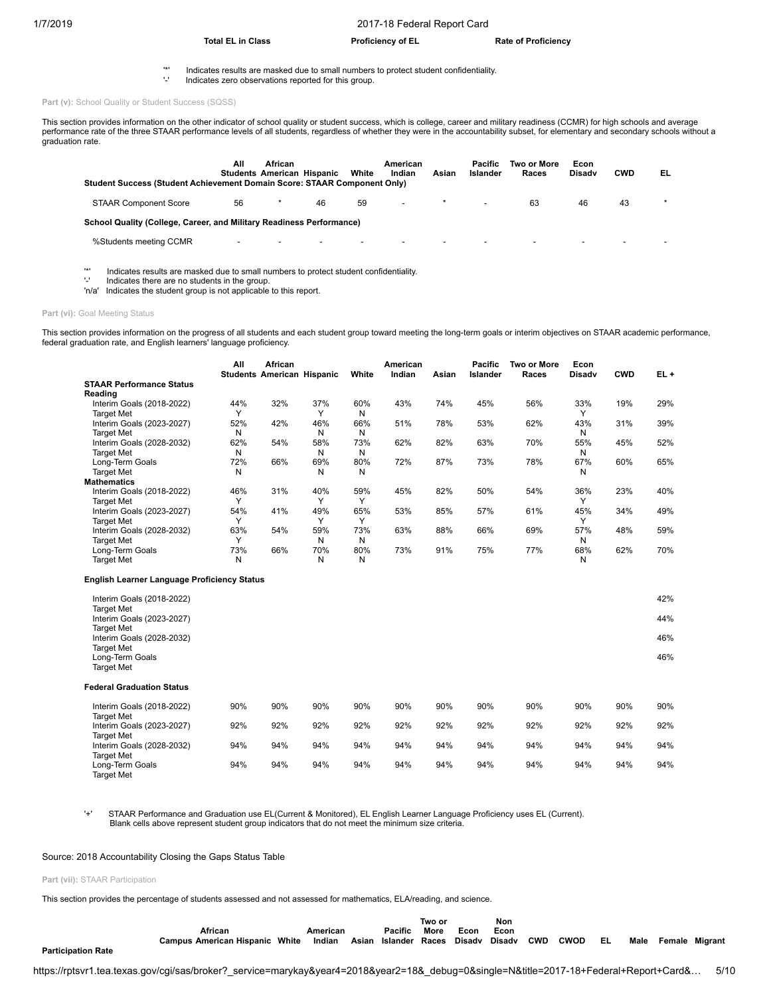## **Total EL in Class Proficiency of EL Rate of Proficiency**

- '\*' Indicates results are masked due to small numbers to protect student confidentiality.
	- '-' Indicates zero observations reported for this group.

Part (v): School Quality or Student Success (SQSS)

This section provides information on the other indicator of school quality or student success, which is college, career and military readiness (CCMR) for high schools and average<br>performance rate of the three STAAR perform graduation rate.

| <b>Student Success (Student Achievement Domain Score: STAAR Component Only)</b> | All | African<br><b>Students American Hispanic</b> |                          | White                    | American<br>Indian       | Asian | Pacific<br>Islander      | Two or More<br>Races     | Econ<br>Disady           | <b>CWD</b>               | EL |
|---------------------------------------------------------------------------------|-----|----------------------------------------------|--------------------------|--------------------------|--------------------------|-------|--------------------------|--------------------------|--------------------------|--------------------------|----|
| <b>STAAR Component Score</b>                                                    | 56  |                                              | 46                       | 59                       | -                        |       | $\overline{\phantom{a}}$ | 63                       | 46                       | 43                       |    |
| School Quality (College, Career, and Military Readiness Performance)            |     |                                              |                          |                          |                          |       |                          |                          |                          |                          |    |
| %Students meeting CCMR                                                          | -   |                                              | $\overline{\phantom{0}}$ | $\overline{\phantom{0}}$ | $\overline{\phantom{0}}$ |       | $\blacksquare$           | $\overline{\phantom{0}}$ | $\overline{\phantom{a}}$ | $\overline{\phantom{0}}$ |    |

'\*' Indicates results are masked due to small numbers to protect student confidentiality.

Indicates there are no students in the group.

'n/a' Indicates the student group is not applicable to this report.

## Part (vi): Goal Meeting Status

This section provides information on the progress of all students and each student group toward meeting the long-term goals or interim objectives on STAAR academic performance, federal graduation rate, and English learners' language proficiency.

|                                 | All          | <b>African</b><br><b>Students American Hispanic</b> |              | White | American<br>Indian | Asian | Pacific<br>Islander | <b>Two or More</b><br>Races | Econ<br><b>Disadv</b> | <b>CWD</b> | $EL +$ |
|---------------------------------|--------------|-----------------------------------------------------|--------------|-------|--------------------|-------|---------------------|-----------------------------|-----------------------|------------|--------|
| <b>STAAR Performance Status</b> |              |                                                     |              |       |                    |       |                     |                             |                       |            |        |
| Reading                         |              |                                                     |              |       |                    |       |                     |                             |                       |            |        |
| Interim Goals (2018-2022)       | 44%          | 32%                                                 | 37%          | 60%   | 43%                | 74%   | 45%                 | 56%                         | 33%                   | 19%        | 29%    |
| <b>Target Met</b>               | $\checkmark$ |                                                     | $\checkmark$ | N     |                    |       |                     |                             |                       |            |        |
| Interim Goals (2023-2027)       | 52%          | 42%                                                 | 46%          | 66%   | 51%                | 78%   | 53%                 | 62%                         | 43%                   | 31%        | 39%    |
| <b>Target Met</b>               | Ν            |                                                     | N            | N     |                    |       |                     |                             | N                     |            |        |
| Interim Goals (2028-2032)       | 62%          | 54%                                                 | 58%          | 73%   | 62%                | 82%   | 63%                 | 70%                         | 55%                   | 45%        | 52%    |
| <b>Target Met</b>               | Ν            |                                                     | N            | N     |                    |       |                     |                             | N                     |            |        |
| Long-Term Goals                 | 72%          | 66%                                                 | 69%          | 80%   | 72%                | 87%   | 73%                 | 78%                         | 67%                   | 60%        | 65%    |
| <b>Target Met</b>               | Ν            |                                                     | N            | N     |                    |       |                     |                             | N                     |            |        |
| <b>Mathematics</b>              |              |                                                     |              |       |                    |       |                     |                             |                       |            |        |
| Interim Goals (2018-2022)       | 46%          | 31%                                                 | 40%          | 59%   | 45%                | 82%   | 50%                 | 54%                         | 36%                   | 23%        | 40%    |
| <b>Target Met</b>               | $\checkmark$ |                                                     | $\checkmark$ |       |                    |       |                     |                             |                       |            |        |
| Interim Goals (2023-2027)       | 54%          | 41%                                                 | 49%          | 65%   | 53%                | 85%   | 57%                 | 61%                         | 45%                   | 34%        | 49%    |
| <b>Target Met</b>               |              |                                                     |              |       |                    |       |                     |                             |                       |            |        |
| Interim Goals (2028-2032)       | 63%          | 54%                                                 | 59%          | 73%   | 63%                | 88%   | 66%                 | 69%                         | 57%                   | 48%        | 59%    |
| <b>Target Met</b>               | $\check{ }$  |                                                     | N            | N     |                    |       |                     |                             | N                     |            |        |
| Long-Term Goals                 | 73%          | 66%                                                 | 70%          | 80%   | 73%                | 91%   | 75%                 | 77%                         | 68%                   | 62%        | 70%    |
| <b>Target Met</b>               | Ν            |                                                     | N            | N     |                    |       |                     |                             | N                     |            |        |

### **English Learner Language Proficiency Status**

| Interim Goals (2018-2022)<br><b>Target Met</b><br>Interim Goals (2023-2027) |     |     |     |     |     |     |     |     |     |     | 42%<br>44% |
|-----------------------------------------------------------------------------|-----|-----|-----|-----|-----|-----|-----|-----|-----|-----|------------|
| <b>Target Met</b><br>Interim Goals (2028-2032)<br><b>Target Met</b>         |     |     |     |     |     |     |     |     |     |     | 46%        |
| Long-Term Goals<br><b>Target Met</b>                                        |     |     |     |     |     |     |     |     |     |     | 46%        |
| <b>Federal Graduation Status</b>                                            |     |     |     |     |     |     |     |     |     |     |            |
| Interim Goals (2018-2022)<br><b>Target Met</b>                              | 90% | 90% | 90% | 90% | 90% | 90% | 90% | 90% | 90% | 90% | 90%        |
| Interim Goals (2023-2027)                                                   | 92% | 92% | 92% | 92% | 92% | 92% | 92% | 92% | 92% | 92% | 92%        |
| <b>Target Met</b><br>Interim Goals (2028-2032)<br><b>Target Met</b>         | 94% | 94% | 94% | 94% | 94% | 94% | 94% | 94% | 94% | 94% | 94%        |
| Long-Term Goals<br><b>Target Met</b>                                        | 94% | 94% | 94% | 94% | 94% | 94% | 94% | 94% | 94% | 94% | 94%        |

'+' STAAR Performance and Graduation use EL(Current & Monitored), EL English Learner Language Proficiency uses EL (Current). Blank cells above represent student group indicators that do not meet the minimum size criteria.

## Source: 2018 Accountability Closing the Gaps Status Table

#### **Part (vii):** STAAR Participation

This section provides the percentage of students assessed and not assessed for mathematics, ELA/reading, and science.

| <b>Participation Rate</b> | African<br><b>Campus American Hispanic White</b>                                                                                        | American<br>Indian | Pacific<br>Asian Islander Races | Two or<br>More | Econ<br>Disadv | Non<br>Econ<br>Disadv | <b>CWD</b> | <b>CWOD</b> | EL | Male | <b>Female Migrant</b> |  |
|---------------------------|-----------------------------------------------------------------------------------------------------------------------------------------|--------------------|---------------------------------|----------------|----------------|-----------------------|------------|-------------|----|------|-----------------------|--|
|                           | https://rptsvr1.tea.texas.gov/cgi/sas/broker?_service=marykay&year4=2018&year2=18&_debug=0&single=N&title=2017-18+Federal+Report+Card&… |                    |                                 |                |                |                       |            |             |    |      | 5/10                  |  |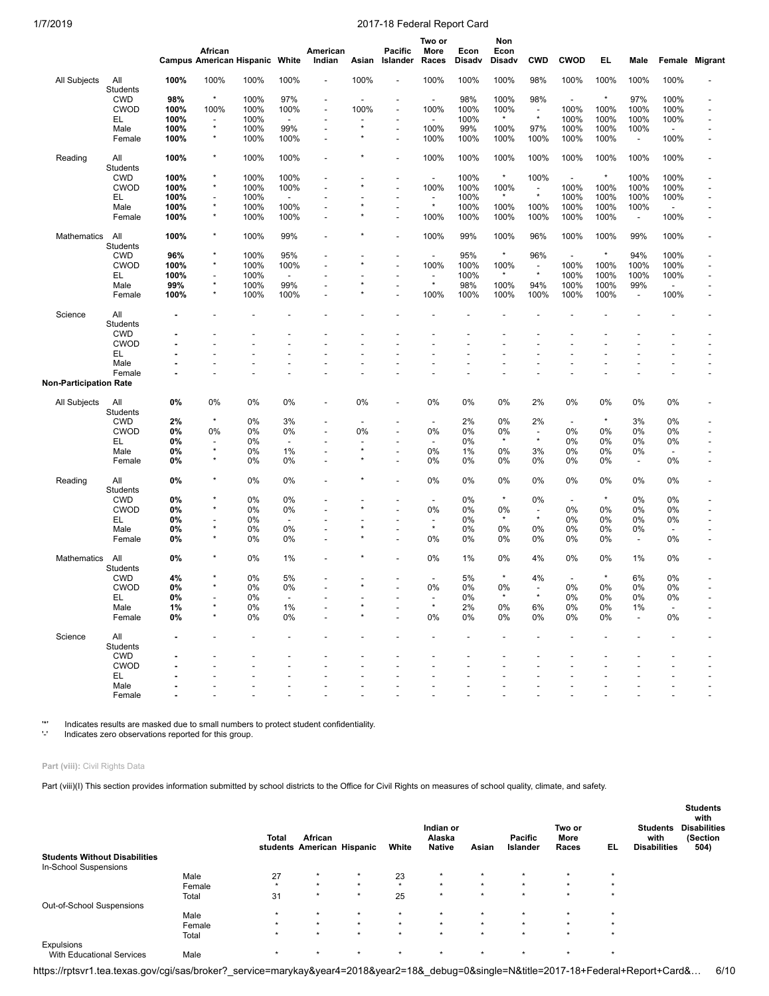|                        |                        |             | African                                | <b>Campus American Hispanic White</b> |                          | American<br>Indian       | Asian                    | Pacific<br>Islander      | Two or<br>More<br>Races             | Econ<br><b>Disady</b> | Non<br>Econ<br>Disadv | <b>CWD</b>                           | <b>CWOD</b>              | EL               | Male                            |                                  | Female Migrant |
|------------------------|------------------------|-------------|----------------------------------------|---------------------------------------|--------------------------|--------------------------|--------------------------|--------------------------|-------------------------------------|-----------------------|-----------------------|--------------------------------------|--------------------------|------------------|---------------------------------|----------------------------------|----------------|
| All Subjects           | All<br>Students        | 100%        | 100%                                   | 100%                                  | 100%                     |                          | 100%                     |                          | 100%                                | 100%                  | 100%                  | 98%                                  | 100%                     | 100%             | 100%                            | 100%                             |                |
|                        | <b>CWD</b>             | 98%         | $\star$                                | 100%                                  | 97%                      |                          |                          |                          | $\overline{\phantom{a}}$            | 98%                   | 100%                  | 98%                                  | $\overline{\phantom{a}}$ | $\star$          | 97%                             | 100%                             |                |
|                        | <b>CWOD</b>            | 100%        | 100%                                   | 100%                                  | 100%                     | $\overline{\phantom{a}}$ | 100%                     | $\overline{a}$           | 100%                                | 100%                  | 100%                  | $\overline{\phantom{a}}$             | 100%                     | 100%             | 100%                            | 100%                             |                |
|                        | EL                     | 100%        | $\overline{\phantom{a}}$               | 100%                                  | $\overline{\phantom{a}}$ |                          |                          |                          | $\overline{\phantom{a}}$            | 100%                  | $\star$               | $\star$                              | 100%                     | 100%             | 100%                            | 100%                             |                |
|                        | Male                   | 100%        | $\star$                                | 100%                                  | 99%                      |                          | $\star$                  | $\overline{a}$           | 100%                                | 99%                   | 100%                  | 97%                                  | 100%                     | 100%             | 100%                            | $\overline{\phantom{a}}$         |                |
|                        | Female                 | 100%        | $^{\star}$                             | 100%                                  | 100%                     |                          |                          | $\overline{a}$           | 100%                                | 100%                  | 100%                  | 100%                                 | 100%                     | 100%             | $\overline{\phantom{a}}$        | 100%                             |                |
| Reading                | All<br>Students        | 100%        | $^{\star}$                             | 100%                                  | 100%                     |                          |                          | $\overline{a}$           | 100%                                | 100%                  | 100%                  | 100%                                 | 100%                     | 100%             | 100%                            | 100%                             |                |
|                        | <b>CWD</b>             | 100%        | ×                                      | 100%                                  | 100%                     |                          |                          |                          | $\overline{a}$                      | 100%                  | $^\star$              | 100%                                 | $\overline{\phantom{a}}$ | $\star$          | 100%                            | 100%                             |                |
|                        | <b>CWOD</b>            | 100%        | $\star$                                | 100%                                  | 100%                     |                          |                          | $\overline{a}$           | 100%                                | 100%                  | 100%                  | $\overline{\phantom{a}}$<br>$^\star$ | 100%                     | 100%             | 100%                            | 100%                             |                |
|                        | EL                     | 100%        | $\overline{\phantom{0}}$<br>$\star$    | 100%                                  | $\overline{\phantom{a}}$ |                          |                          |                          | $\overline{\phantom{a}}$<br>$\star$ | 100%                  | $\star$               |                                      | 100%                     | 100%             | 100%                            | 100%                             |                |
|                        | Male                   | 100%        | $\star$                                | 100%                                  | 100%                     |                          |                          | $\overline{\phantom{a}}$ |                                     | 100%                  | 100%                  | 100%                                 | 100%                     | 100%             | 100%                            | $\overline{\phantom{a}}$         |                |
|                        | Female                 | 100%        |                                        | 100%                                  | 100%                     |                          |                          | $\overline{a}$           | 100%                                | 100%                  | 100%                  | 100%                                 | 100%                     | 100%             | $\overline{\phantom{a}}$        | 100%                             |                |
| Mathematics            | All<br>Students        | 100%        | $\ast$<br>$\star$                      | 100%                                  | 99%                      |                          |                          | ÷,                       | 100%                                | 99%                   | 100%<br>$\star$       | 96%                                  | 100%                     | 100%<br>$^\star$ | 99%                             | 100%                             |                |
|                        | <b>CWD</b>             | 96%         | $^{\star}$                             | 100%                                  | 95%                      |                          |                          | $\overline{\phantom{a}}$ | $\blacksquare$                      | 95%                   |                       | 96%                                  | $\overline{\phantom{a}}$ |                  | 94%                             | 100%                             |                |
|                        | <b>CWOD</b>            | 100%        |                                        | 100%                                  | 100%                     |                          |                          | $\overline{a}$           | 100%                                | 100%                  | 100%<br>$\star$       | $\overline{\phantom{a}}$<br>$\star$  | 100%                     | 100%             | 100%                            | 100%                             |                |
|                        | EL                     | 100%        | $\overline{\phantom{a}}$<br>$^{\star}$ | 100%                                  | $\overline{\phantom{a}}$ |                          | $\star$                  | Ĭ.                       | $\overline{\phantom{a}}$<br>$\star$ | 100%                  |                       |                                      | 100%                     | 100%             | 100%                            | 100%                             |                |
|                        | Male<br>Female         | 99%<br>100% | $^{\star}$                             | 100%<br>100%                          | 99%<br>100%              |                          |                          |                          | 100%                                | 98%<br>100%           | 100%<br>100%          | 94%<br>100%                          | 100%<br>100%             | 100%<br>100%     | 99%<br>$\overline{\phantom{a}}$ | $\overline{\phantom{a}}$<br>100% |                |
| Science                | All<br><b>Students</b> |             |                                        |                                       |                          |                          |                          |                          |                                     |                       |                       |                                      |                          |                  |                                 |                                  |                |
|                        | <b>CWD</b>             |             |                                        |                                       |                          |                          |                          |                          |                                     |                       |                       |                                      |                          |                  |                                 |                                  |                |
|                        | <b>CWOD</b>            |             |                                        |                                       |                          |                          |                          |                          |                                     |                       |                       |                                      |                          |                  |                                 |                                  |                |
|                        | EL                     |             |                                        |                                       |                          |                          |                          |                          |                                     |                       |                       |                                      |                          |                  |                                 |                                  |                |
|                        | Male                   |             |                                        |                                       |                          |                          |                          |                          |                                     |                       |                       |                                      |                          |                  |                                 |                                  | $\overline{a}$ |
| Non-Participation Rate | Female                 |             |                                        |                                       |                          |                          |                          |                          |                                     |                       |                       |                                      |                          |                  |                                 |                                  |                |
|                        |                        |             |                                        |                                       |                          |                          |                          |                          |                                     |                       |                       |                                      |                          |                  |                                 |                                  |                |
| All Subjects           | All<br>Students        | 0%          | 0%                                     | 0%                                    | 0%                       | $\overline{a}$           | 0%                       | $\overline{\phantom{a}}$ | 0%                                  | 0%                    | 0%                    | 2%                                   | 0%                       | 0%               | 0%                              | 0%                               |                |
|                        | <b>CWD</b>             | 2%          | $\star$                                | 0%                                    | 3%                       |                          | $\overline{\phantom{a}}$ |                          | $\overline{\phantom{a}}$            | 2%                    | 0%                    | 2%                                   | $\overline{\phantom{a}}$ | $^\star$         | 3%                              | 0%                               |                |
|                        | <b>CWOD</b>            | 0%          | 0%                                     | 0%                                    | 0%                       |                          | 0%                       | $\overline{a}$           | 0%                                  | 0%                    | 0%                    | $\overline{\phantom{a}}$             | 0%                       | 0%               | 0%                              | 0%                               | $\overline{a}$ |
|                        | EL                     | 0%          | ÷                                      | 0%                                    | $\overline{\phantom{a}}$ |                          |                          |                          | $\overline{a}$                      | 0%                    | $\star$               | $\star$                              | 0%                       | 0%               | 0%                              | 0%                               |                |
|                        | Male                   | 0%          | $\star$                                | 0%                                    | 1%                       |                          | $^{\star}$               | $\overline{\phantom{a}}$ | 0%                                  | 1%                    | 0%                    | 3%                                   | 0%                       | 0%               | 0%                              |                                  |                |
|                        | Female                 | 0%          | $\star$                                | 0%                                    | 0%                       |                          |                          |                          | 0%                                  | 0%                    | 0%                    | 0%                                   | 0%                       | 0%               | $\overline{\phantom{a}}$        | 0%                               |                |
| Reading                | All<br>Students        | 0%          | ×                                      | 0%                                    | 0%                       |                          |                          | $\overline{a}$           | 0%                                  | 0%                    | 0%                    | 0%                                   | 0%                       | 0%               | 0%                              | 0%                               |                |
|                        | <b>CWD</b>             | 0%          | ×                                      | 0%                                    | 0%                       |                          |                          |                          | $\overline{a}$                      | 0%                    | $\star$               | 0%                                   | $\overline{\phantom{a}}$ | $\star$          | 0%                              | 0%                               |                |
|                        | <b>CWOD</b>            | 0%          | $\star$                                | 0%                                    | 0%                       |                          |                          |                          | 0%                                  | 0%                    | 0%                    | $\overline{\phantom{a}}$             | 0%                       | 0%               | 0%                              | 0%                               |                |
|                        | EL                     | 0%          | ٠                                      | 0%                                    | $\overline{a}$           |                          |                          | $\overline{\phantom{a}}$ | $\overline{\phantom{a}}$            | 0%                    | $\star$               | $\star$                              | 0%                       | 0%               | 0%                              | 0%                               |                |
|                        | Male                   | 0%          | $\star$                                | 0%                                    | 0%                       |                          | $\star$                  | Ĭ.                       | $\star$                             | 0%                    | 0%                    | 0%                                   | 0%                       | 0%               | 0%                              | $\overline{\phantom{a}}$         |                |
|                        | Female                 | 0%          | $\star$                                | 0%                                    | 0%                       |                          | $\star$                  | Ĭ.                       | 0%                                  | 0%                    | 0%                    | 0%                                   | 0%                       | 0%               | $\overline{\phantom{a}}$        | 0%                               |                |
| Mathematics            | All<br>Students        | 0%          | $\star$                                | 0%                                    | 1%                       |                          |                          |                          | 0%                                  | 1%                    | 0%                    | 4%                                   | 0%                       | 0%               | 1%                              | 0%                               |                |
|                        | <b>CWD</b>             | 4%          |                                        | 0%                                    | 5%                       |                          |                          |                          | $\overline{\phantom{a}}$            | 5%                    | $\star$               | 4%                                   |                          | $\star$          | 6%                              | 0%                               |                |
|                        | <b>CWOD</b>            | 0%          | $\star$                                | 0%                                    | 0%                       |                          | $\star$                  |                          | 0%                                  | 0%                    | 0%                    | $\overline{\phantom{a}}$             | 0%                       | 0%               | 0%                              | 0%                               |                |
|                        | EL                     | 0%          |                                        | 0%                                    |                          |                          |                          |                          |                                     | 0%                    | $\star$               | $\star$                              | 0%                       | 0%               | 0%                              | 0%                               |                |
|                        | Male                   | 1%          |                                        | 0%                                    | 1%                       |                          |                          |                          | $\star$                             | 2%                    | 0%                    | 6%                                   | 0%                       | 0%               | 1%                              |                                  |                |
|                        | Female                 | 0%          |                                        | 0%                                    | 0%                       |                          |                          |                          | 0%                                  | 0%                    | 0%                    | 0%                                   | 0%                       | 0%               | $\overline{a}$                  | 0%                               |                |
| Science                | All<br>Students        |             |                                        |                                       |                          |                          |                          |                          |                                     |                       |                       |                                      |                          |                  |                                 |                                  |                |
|                        | <b>CWD</b>             |             |                                        |                                       |                          |                          |                          |                          |                                     |                       |                       |                                      |                          |                  |                                 |                                  |                |
|                        | <b>CWOD</b><br>EL.     |             |                                        |                                       |                          |                          |                          |                          |                                     |                       |                       |                                      |                          |                  |                                 |                                  |                |
|                        | Male                   |             |                                        |                                       |                          |                          |                          |                          |                                     |                       |                       |                                      |                          |                  |                                 |                                  |                |
|                        | Female                 |             |                                        |                                       |                          |                          |                          |                          |                                     |                       |                       |                                      |                          |                  |                                 |                                  |                |

'\*' Indicates results are masked due to small numbers to protect student confidentiality. '-' Indicates zero observations reported for this group.

## **Part (viii):** Civil Rights Data

Part (viii)(I) This section provides information submitted by school districts to the Office for Civil Rights on measures of school quality, climate, and safety.

|                                      |        | Total   | African<br>students American Hispanic |         | White   | Indian or<br>Alaska<br><b>Native</b> | Asian   | Pacific<br>Islander | Two or<br>More<br>Races | EL.     | <b>Students</b><br>with<br><b>Disabilities</b> | <b>Students</b><br>with<br><b>Disabilities</b><br>(Section<br>504) |
|--------------------------------------|--------|---------|---------------------------------------|---------|---------|--------------------------------------|---------|---------------------|-------------------------|---------|------------------------------------------------|--------------------------------------------------------------------|
| <b>Students Without Disabilities</b> |        |         |                                       |         |         |                                      |         |                     |                         |         |                                                |                                                                    |
| In-School Suspensions                |        |         |                                       |         |         |                                      |         |                     |                         |         |                                                |                                                                    |
|                                      | Male   | 27      | $\star$                               | $\star$ | 23      | $\star$                              | $\star$ | $\star$             | $\star$                 | $\star$ |                                                |                                                                    |
|                                      | Female | $\star$ | $\star$                               | $\star$ | $\star$ | $\star$                              | $\star$ | $\star$             | $\star$                 | $\star$ |                                                |                                                                    |
|                                      | Total  | 31      | $\star$                               | $\star$ | 25      | $\star$                              | $\star$ | $\star$             | $\star$                 | $\star$ |                                                |                                                                    |
| Out-of-School Suspensions            |        |         |                                       |         |         |                                      |         |                     |                         |         |                                                |                                                                    |
|                                      | Male   | $\star$ | $\star$                               | $\star$ | $\star$ | $\star$                              | $\star$ | $\star$             | $\star$                 | $\star$ |                                                |                                                                    |
|                                      | Female | $\star$ | $\star$                               | $\star$ | $\star$ | $\star$                              | $\star$ | $\star$             | $\star$                 | $\star$ |                                                |                                                                    |
|                                      | Total  | $\star$ | $\star$                               | $\star$ | $\star$ | $\star$                              | $\star$ | $\star$             | $\star$                 | $\star$ |                                                |                                                                    |
| <b>Expulsions</b>                    |        |         |                                       |         |         |                                      |         |                     |                         |         |                                                |                                                                    |
| <b>With Educational Services</b>     | Male   | $\star$ | $\star$                               | $\star$ | $\star$ | $\star$                              | $\star$ | $\star$             | $\star$                 | $\star$ |                                                |                                                                    |

https://rptsvr1.tea.texas.gov/cgi/sas/broker?\_service=marykay&year4=2018&year2=18&\_debug=0&single=N&title=2017-18+Federal+Report+Card&… 6/10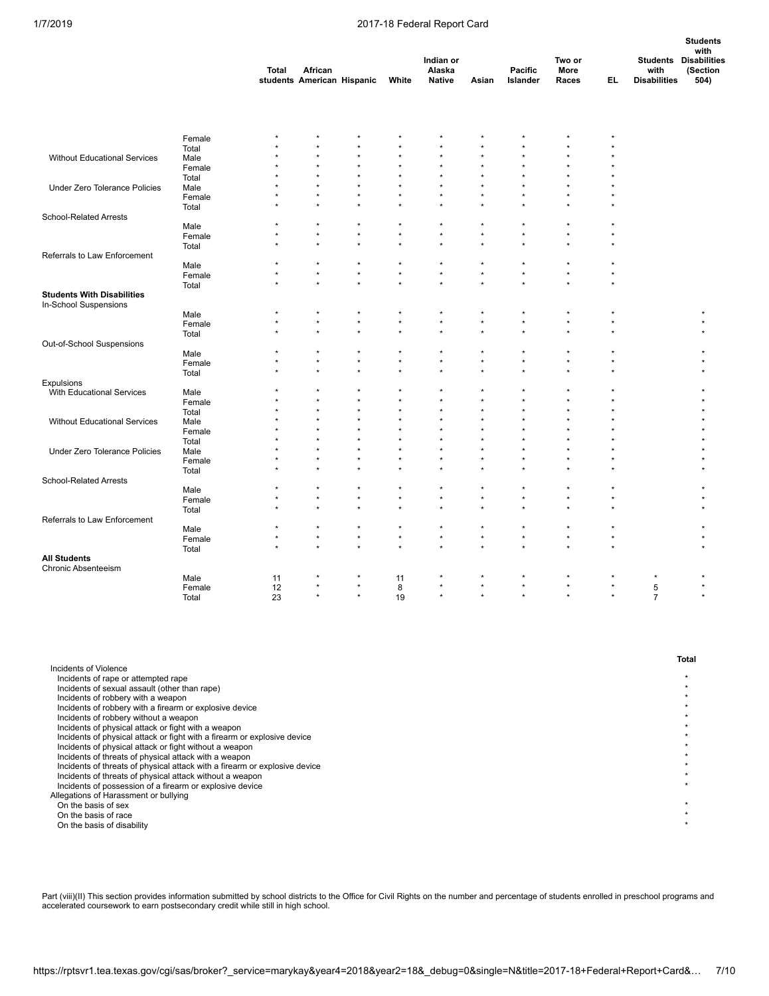|                                         |                 | <b>Total</b> | African<br>students American Hispanic |         | White   | Indian or<br>Alaska<br><b>Native</b> | Asian        | Pacific<br>Islander | Two or<br>More<br>Races | EL,     | with<br><b>Disabilities</b> | <b>Students</b><br>with<br><b>Students Disabilities</b><br>(Section<br>504) |
|-----------------------------------------|-----------------|--------------|---------------------------------------|---------|---------|--------------------------------------|--------------|---------------------|-------------------------|---------|-----------------------------|-----------------------------------------------------------------------------|
|                                         |                 |              |                                       |         |         |                                      |              |                     |                         |         |                             |                                                                             |
|                                         | Female          |              |                                       |         |         |                                      |              |                     |                         |         |                             |                                                                             |
|                                         | Total           |              |                                       |         |         | $\star$                              |              |                     | $\star$                 |         |                             |                                                                             |
| <b>Without Educational Services</b>     | Male            |              |                                       |         |         |                                      |              |                     |                         |         |                             |                                                                             |
|                                         | Female          |              |                                       |         |         |                                      |              |                     |                         |         |                             |                                                                             |
|                                         | Total           |              |                                       |         |         |                                      |              |                     |                         |         |                             |                                                                             |
| <b>Under Zero Tolerance Policies</b>    | Male            |              |                                       |         |         |                                      |              |                     |                         |         |                             |                                                                             |
|                                         | Female          |              |                                       |         |         |                                      |              |                     |                         |         |                             |                                                                             |
|                                         | Total           |              |                                       |         |         |                                      |              |                     |                         |         |                             |                                                                             |
| <b>School-Related Arrests</b>           |                 |              |                                       |         | ź       | $\star$                              |              |                     | $\star$                 |         |                             |                                                                             |
|                                         | Male            |              |                                       |         | $\star$ | $\star$                              |              | $\star$             | $\star$                 |         |                             |                                                                             |
|                                         | Female          |              |                                       |         |         |                                      |              |                     |                         |         |                             |                                                                             |
|                                         | Total           |              |                                       |         |         |                                      |              |                     |                         |         |                             |                                                                             |
| Referrals to Law Enforcement            | Male            |              |                                       |         | ×       | $\star$                              |              |                     |                         |         |                             |                                                                             |
|                                         | Female          | $^{\star}$   | $\star$                               | $\star$ | $\star$ | $\star$                              | $\star$      | $\star$             | $\star$                 |         |                             |                                                                             |
|                                         | Total           | $\star$      | ÷                                     | $\star$ | $\star$ | $\star$                              | ÷            | $\star$             | $\star$                 |         |                             |                                                                             |
| <b>Students With Disabilities</b>       |                 |              |                                       |         |         |                                      |              |                     |                         |         |                             |                                                                             |
| In-School Suspensions                   |                 |              |                                       |         |         |                                      |              |                     |                         |         |                             |                                                                             |
|                                         | Male            | $\star$      | $\star$                               | $\star$ | $\star$ | $\star$                              | ×            | $^{\star}$          | $\star$                 |         |                             |                                                                             |
|                                         | Female          |              |                                       |         |         | $\star$                              |              | $\star$             | $\star$                 |         |                             |                                                                             |
|                                         | Total           |              |                                       |         |         |                                      |              |                     | $\star$                 |         |                             |                                                                             |
| Out-of-School Suspensions               |                 |              |                                       |         |         |                                      |              |                     |                         |         |                             |                                                                             |
|                                         | Male            |              |                                       |         | $\star$ | $\star$                              |              |                     | $\star$                 |         |                             |                                                                             |
|                                         | Female          |              |                                       |         |         |                                      |              |                     | $\star$                 |         |                             |                                                                             |
|                                         | Total           |              |                                       |         |         |                                      |              |                     |                         |         |                             |                                                                             |
| Expulsions<br>With Educational Services | Male            |              |                                       |         |         |                                      |              |                     | $\star$                 |         |                             |                                                                             |
|                                         | Female          |              |                                       |         |         |                                      |              |                     |                         |         |                             |                                                                             |
|                                         | Total           |              | $\star$                               |         |         | $\star$                              | $\star$      |                     | $\star$                 |         |                             |                                                                             |
| Without Educational Services            | Male            |              |                                       |         |         |                                      |              |                     |                         |         |                             |                                                                             |
|                                         | Female          |              |                                       |         |         |                                      |              |                     |                         |         |                             |                                                                             |
|                                         | Total           |              | $\star$                               |         |         | ź                                    | ÷            |                     |                         |         |                             |                                                                             |
| Under Zero Tolerance Policies           | Male            |              |                                       |         |         |                                      |              |                     |                         |         |                             |                                                                             |
|                                         | Female          |              |                                       |         |         | $\star$                              |              |                     |                         |         |                             |                                                                             |
|                                         | Total           |              |                                       |         |         |                                      |              |                     |                         |         |                             |                                                                             |
| School-Related Arrests                  |                 |              |                                       |         |         |                                      |              |                     |                         |         |                             |                                                                             |
|                                         | Male            | $\star$      | ×                                     | $\star$ | $\star$ | $\star$                              |              | $\star$             | $\star$                 |         |                             |                                                                             |
|                                         | Female          | $\star$      |                                       | $\star$ | $\star$ | $\star$                              |              | $\star$             | $\star$                 |         |                             |                                                                             |
|                                         | Total           |              |                                       |         |         |                                      |              |                     | $\star$                 |         |                             |                                                                             |
| Referrals to Law Enforcement            |                 |              |                                       |         |         |                                      |              |                     |                         |         |                             |                                                                             |
|                                         | Male            |              | ×                                     | $\star$ | $\star$ | $\star$                              |              | $\star$             | $\star$                 |         |                             |                                                                             |
|                                         | Female          | $^{\star}$   | $\star$                               | $\star$ | $\star$ | $\star$                              | $\star$<br>÷ | $\star$             | $\star$                 |         |                             |                                                                             |
|                                         | Total           |              |                                       |         |         | $\star$                              |              |                     | $\star$                 |         |                             |                                                                             |
| <b>All Students</b>                     |                 |              |                                       |         |         |                                      |              |                     |                         |         |                             |                                                                             |
| Chronic Absenteeism                     |                 |              |                                       |         |         |                                      |              |                     | *                       |         |                             |                                                                             |
|                                         | Male            | 11           | $\star$                               | $\star$ | 11<br>8 | $\star$                              |              | $\star$             | $\star$                 |         | $\overline{5}$              |                                                                             |
|                                         | Female<br>Total | 12<br>23     | $\star$                               | $\star$ | 19      | $\star$                              | $\star$      | $\star$             | $\star$                 | $\star$ | $\overline{7}$              |                                                                             |
|                                         |                 |              |                                       |         |         |                                      |              |                     |                         |         |                             |                                                                             |

|                                                                            | Total |
|----------------------------------------------------------------------------|-------|
| Incidents of Violence                                                      |       |
| Incidents of rape or attempted rape                                        |       |
| Incidents of sexual assault (other than rape)                              |       |
| Incidents of robbery with a weapon                                         |       |
| Incidents of robbery with a firearm or explosive device                    |       |
| Incidents of robbery without a weapon                                      |       |
| Incidents of physical attack or fight with a weapon                        |       |
| Incidents of physical attack or fight with a firearm or explosive device   |       |
| Incidents of physical attack or fight without a weapon                     |       |
| Incidents of threats of physical attack with a weapon                      |       |
| Incidents of threats of physical attack with a firearm or explosive device |       |
| Incidents of threats of physical attack without a weapon                   |       |
| Incidents of possession of a firearm or explosive device                   |       |
| Allegations of Harassment or bullying                                      |       |
| On the basis of sex                                                        |       |
| On the basis of race                                                       |       |
| On the basis of disability                                                 |       |
|                                                                            |       |

Part (viii)(II) This section provides information submitted by school districts to the Office for Civil Rights on the number and percentage of students enrolled in preschool programs and accelerated coursework to earn postsecondary credit while still in high school.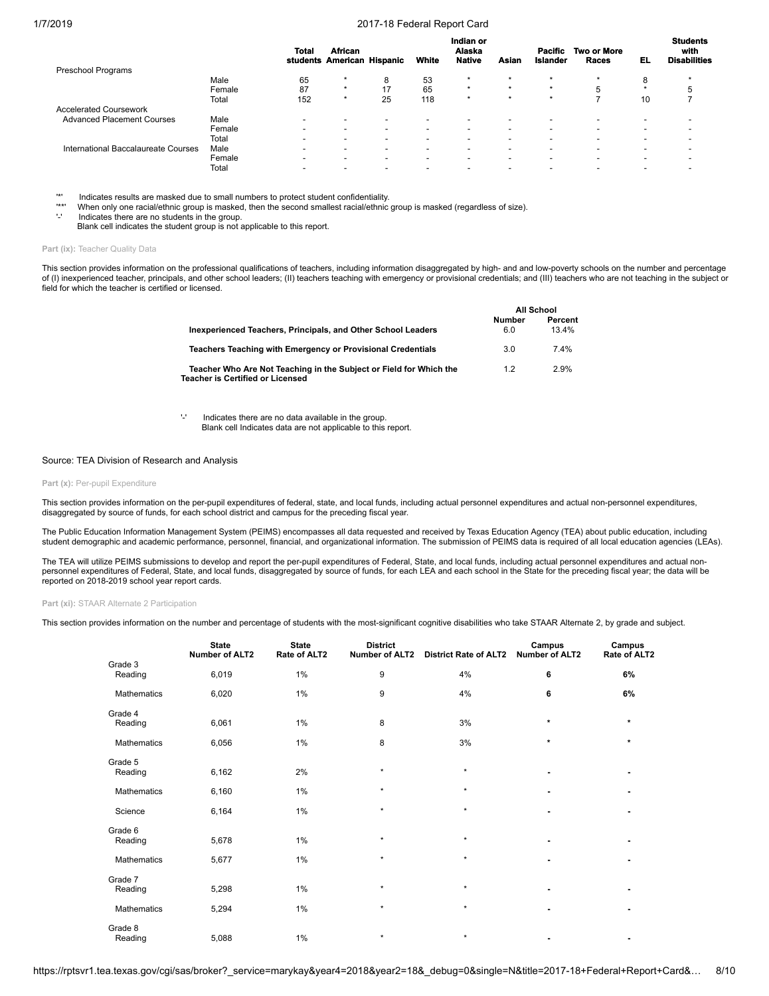|                                     |        | Total                    | <b>African</b><br>students American Hispanic |                          | White                    | Indian or<br>Alaska<br><b>Native</b> | Asian                    | Pacific<br><b>Islander</b> | <b>Two or More</b><br>Races | EL      | <b>Students</b><br>with<br><b>Disabilities</b> |
|-------------------------------------|--------|--------------------------|----------------------------------------------|--------------------------|--------------------------|--------------------------------------|--------------------------|----------------------------|-----------------------------|---------|------------------------------------------------|
| <b>Preschool Programs</b>           |        |                          |                                              |                          |                          |                                      |                          |                            |                             |         |                                                |
|                                     | Male   | 65                       | $\star$                                      | 8                        | 53                       | $\star$                              | $\star$                  | $\star$                    | $\star$                     | 8       |                                                |
|                                     | Female | 87                       | $\star$                                      | 17                       | 65                       | $\star$                              | $\star$                  | $\star$                    | 5                           | $\star$ |                                                |
|                                     | Total  | 152                      | $\star$                                      | 25                       | 118                      | $\star$                              | $\star$                  | $\star$                    |                             | 10      |                                                |
| <b>Accelerated Coursework</b>       |        |                          |                                              |                          |                          |                                      |                          |                            |                             |         |                                                |
| <b>Advanced Placement Courses</b>   | Male   | $\overline{\phantom{0}}$ | $\overline{\phantom{0}}$                     | $\overline{\phantom{a}}$ | -                        | $\overline{\phantom{0}}$             | $\overline{\phantom{a}}$ | $\overline{\phantom{0}}$   | -                           | -       |                                                |
|                                     | Female |                          | $\overline{\phantom{0}}$                     | $\overline{\phantom{a}}$ | -                        | $\overline{\phantom{0}}$             | $\overline{\phantom{a}}$ | $\overline{\phantom{0}}$   | -                           | -       |                                                |
|                                     | Total  | $\overline{\phantom{0}}$ | -                                            |                          | $\overline{\phantom{0}}$ | -                                    | $\overline{\phantom{a}}$ | -                          | -                           | -       |                                                |
| International Baccalaureate Courses | Male   | $\overline{\phantom{0}}$ | $\overline{\phantom{0}}$                     | <b>.</b>                 | -                        | $\overline{\phantom{0}}$             | $\overline{\phantom{a}}$ | -                          | -                           | -       |                                                |
|                                     | Female | $\overline{\phantom{0}}$ | $\overline{\phantom{0}}$                     | $\overline{\phantom{a}}$ | -                        | $\overline{\phantom{0}}$             | $\overline{\phantom{a}}$ | -                          | $\overline{\phantom{0}}$    | -       |                                                |
|                                     | Total  | $\overline{\phantom{0}}$ | $\overline{\phantom{0}}$                     |                          | $\overline{\phantom{0}}$ | -                                    | -                        | -                          | -                           | -       |                                                |

'\*' Indicates results are masked due to small numbers to protect student confidentiality.<br>'\*\*' When only one racial/ethnic group is masked, then the second smallest racial/ethnic group is masked (regardless of size

'-' Indicates there are no students in the group.

Blank cell indicates the student group is not applicable to this report.

#### Part (ix): Teacher Quality Data

This section provides information on the professional qualifications of teachers, including information disaggregated by high- and and low-poverty schools on the number and percentage of (I) inexperienced teacher, principals, and other school leaders; (II) teachers teaching with emergency or provisional credentials; and (III) teachers who are not teaching in the subject or field for which the teacher is certified or licensed.

**All School**

|                                                                                                        |               | All SCHOOL |
|--------------------------------------------------------------------------------------------------------|---------------|------------|
|                                                                                                        | <b>Number</b> | Percent    |
| Inexperienced Teachers, Principals, and Other School Leaders                                           | 6.0           | 13.4%      |
| Teachers Teaching with Emergency or Provisional Credentials                                            | 3.0           | 74%        |
| Teacher Who Are Not Teaching in the Subject or Field for Which the<br>Teacher is Certified or Licensed | 1.2           | 2.9%       |

'-' Indicates there are no data available in the group. Blank cell Indicates data are not applicable to this report.

### Source: TEA Division of Research and Analysis

#### Part (x): Per-pupil Expenditure

This section provides information on the per-pupil expenditures of federal, state, and local funds, including actual personnel expenditures and actual non-personnel expenditures, disaggregated by source of funds, for each school district and campus for the preceding fiscal year.

The Public Education Information Management System (PEIMS) encompasses all data requested and received by Texas Education Agency (TEA) about public education, including student demographic and academic performance, personnel, financial, and organizational information. The submission of PEIMS data is required of all local education agencies (LEAs).

The TEA will utilize PEIMS submissions to develop and report the per-pupil expenditures of Federal, State, and local funds, including actual personnel expenditures and actual nonpersonnel expenditures of Federal, State, and local funds, disaggregated by source of funds, for each LEA and each school in the State for the preceding fiscal year; the data will be reported on 2018-2019 school year report cards.

**Part (xi):** STAAR Alternate 2 Participation

This section provides information on the number and percentage of students with the most-significant cognitive disabilities who take STAAR Alternate 2, by grade and subject.

|                    | <b>State</b><br><b>Number of ALT2</b> | <b>State</b><br>Rate of ALT2 | <b>District</b><br>Number of ALT2 | <b>District Rate of ALT2</b> | Campus<br><b>Number of ALT2</b> | Campus<br>Rate of ALT2 |
|--------------------|---------------------------------------|------------------------------|-----------------------------------|------------------------------|---------------------------------|------------------------|
| Grade 3<br>Reading | 6,019                                 | 1%                           | 9                                 | 4%                           | 6                               | 6%                     |
| Mathematics        | 6,020                                 | 1%                           | 9                                 | 4%                           | 6                               | 6%                     |
| Grade 4<br>Reading | 6,061                                 | 1%                           | 8                                 | 3%                           | $\star$                         | $\star$                |
| Mathematics        | 6,056                                 | 1%                           | 8                                 | 3%                           | $\star$                         | $\star$                |
| Grade 5<br>Reading | 6,162                                 | 2%                           | $\star$                           | $\star$                      |                                 | ٠                      |
| Mathematics        | 6,160                                 | 1%                           | $\star$                           | $\star$                      |                                 | ٠                      |
| Science            | 6,164                                 | 1%                           | $\star$                           | $\star$                      |                                 | ٠                      |
| Grade 6<br>Reading | 5,678                                 | 1%                           | $\star$                           | $\star$                      |                                 | ٠                      |
| Mathematics        | 5,677                                 | 1%                           | $\star$                           | $\star$                      | ٠                               | ٠                      |
| Grade 7<br>Reading | 5,298                                 | 1%                           | $\star$                           | $\star$                      |                                 | ٠                      |
| Mathematics        | 5,294                                 | 1%                           | $\star$                           | $\star$                      | ٠                               | ٠                      |
| Grade 8<br>Reading | 5,088                                 | 1%                           | $\star$                           | $\star$                      |                                 | ٠                      |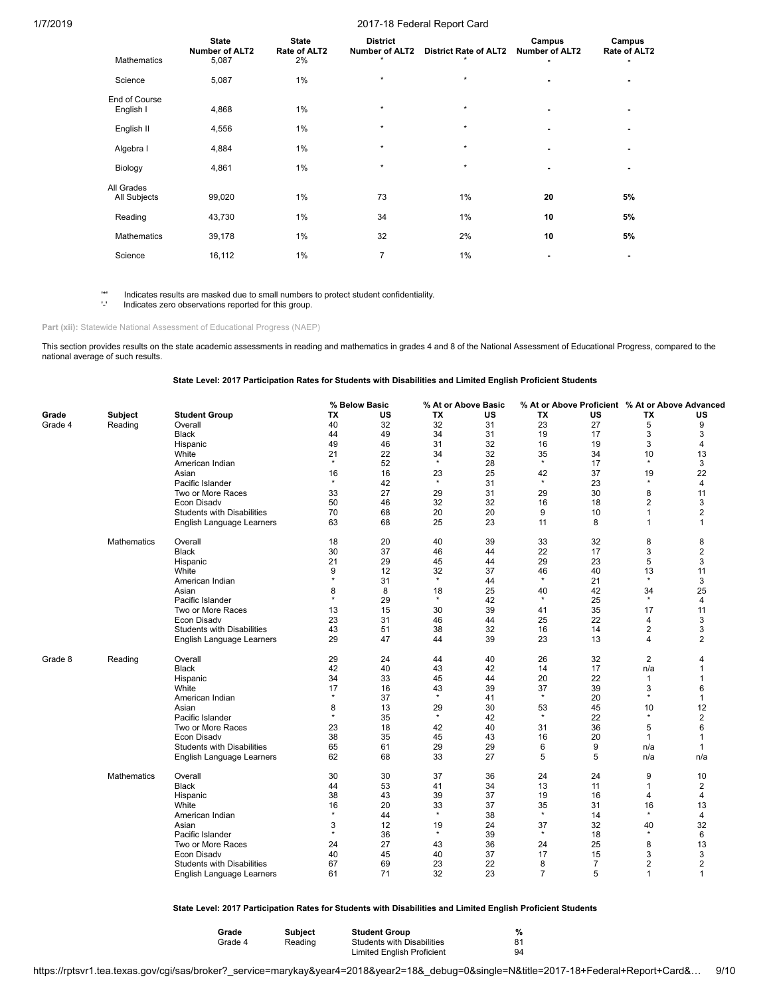| <b>Mathematics</b>         | <b>State</b><br><b>Number of ALT2</b><br>5,087 | <b>State</b><br>Rate of ALT2<br>2% | <b>District</b><br><b>Number of ALT2</b><br>$\star$ | <b>District Rate of ALT2</b><br>$\star$ | Campus<br><b>Number of ALT2</b> | Campus<br>Rate of ALT2 |
|----------------------------|------------------------------------------------|------------------------------------|-----------------------------------------------------|-----------------------------------------|---------------------------------|------------------------|
| Science                    | 5,087                                          | $1\%$                              | $\star$                                             | $\star$                                 |                                 |                        |
| End of Course<br>English I | 4,868                                          | 1%                                 | $\star$                                             | $\star$                                 |                                 |                        |
| English II                 | 4,556                                          | 1%                                 | $\star$                                             | $\star$                                 |                                 |                        |
| Algebra I                  | 4,884                                          | 1%                                 | $\star$                                             | $\star$                                 | $\overline{\phantom{0}}$        |                        |
| Biology                    | 4,861                                          | 1%                                 | $\star$                                             | $\star$                                 | ٠                               |                        |
| All Grades<br>All Subjects | 99,020                                         | 1%                                 | 73                                                  | 1%                                      | 20                              | 5%                     |
| Reading                    | 43,730                                         | 1%                                 | 34                                                  | 1%                                      | 10                              | 5%                     |
| <b>Mathematics</b>         | 39,178                                         | 1%                                 | 32                                                  | 2%                                      | 10                              | 5%                     |
| Science                    | 16,112                                         | 1%                                 | 7                                                   | 1%                                      |                                 |                        |

'\*' Indicates results are masked due to small numbers to protect student confidentiality. Indicates zero observations reported for this group.

Part (xii): Statewide National Assessment of Educational Progress (NAEP)

This section provides results on the state academic assessments in reading and mathematics in grades 4 and 8 of the National Assessment of Educational Progress, compared to the national average of such results.

**State Level: 2017 Participation Rates for Students with Disabilities and Limited English Proficient Students**

|         |                    |                                   |         | % Below Basic |         | % At or Above Basic |                | % At or Above Proficient % At or Above Advanced |                |                |
|---------|--------------------|-----------------------------------|---------|---------------|---------|---------------------|----------------|-------------------------------------------------|----------------|----------------|
| Grade   | Subject            | <b>Student Group</b>              | ТX      | US            | TX      | US                  | TX             | US                                              | ТX             | US             |
| Grade 4 | Reading            | Overall                           | 40      | 32            | 32      | 31                  | 23             | 27                                              | 5              | 9              |
|         |                    | Black                             | 44      | 49            | 34      | 31                  | 19             | 17                                              | 3              | 3              |
|         |                    | Hispanic                          | 49      | 46            | 31      | 32                  | 16             | 19                                              | 3              | 4              |
|         |                    | White                             | 21      | 22            | 34      | 32                  | 35             | 34                                              | 10             | 13             |
|         |                    | American Indian                   | $\star$ | 52            | $\star$ | 28                  | $\star$        | 17                                              | $\star$        | 3              |
|         |                    | Asian                             | 16      | 16            | 23      | 25                  | 42             | 37                                              | 19             | 22             |
|         |                    | Pacific Islander                  | $\star$ | 42            | $\star$ | 31                  | $\star$        | 23                                              | $\star$        | 4              |
|         |                    | Two or More Races                 | 33      | 27            | 29      | 31                  | 29             | 30                                              | 8              | 11             |
|         |                    | Econ Disadv                       | 50      | 46            | 32      | 32                  | 16             | 18                                              | $\overline{2}$ | 3              |
|         |                    | <b>Students with Disabilities</b> | 70      | 68            | 20      | 20                  | 9              | 10                                              | $\mathbf{1}$   | $\overline{2}$ |
|         |                    | English Language Learners         | 63      | 68            | 25      | 23                  | 11             | 8                                               | 1              | 1              |
|         | <b>Mathematics</b> | Overall                           | 18      | 20            | 40      | 39                  | 33             | 32                                              | 8              | 8              |
|         |                    | <b>Black</b>                      | 30      | 37            | 46      | 44                  | 22             | 17                                              | 3              | $\overline{2}$ |
|         |                    | Hispanic                          | 21      | 29            | 45      | 44                  | 29             | 23                                              | 5              | 3              |
|         |                    | White                             | 9       | 12            | 32      | 37                  | 46             | 40                                              | 13             | 11             |
|         |                    | American Indian                   | $\star$ | 31            | $\star$ | 44                  | $\star$        | 21                                              | $\star$        | 3              |
|         |                    | Asian                             | 8       | 8             | 18      | 25                  | 40             | 42                                              | 34             | 25             |
|         |                    | Pacific Islander                  | $\star$ | 29            | $\star$ | 42                  | $\star$        | 25                                              | $\star$        | 4              |
|         |                    | Two or More Races                 | 13      | 15            | 30      | 39                  | 41             | 35                                              | 17             | 11             |
|         |                    | Econ Disadv                       | 23      | 31            | 46      | 44                  | 25             | 22                                              | 4              | 3              |
|         |                    | <b>Students with Disabilities</b> | 43      | 51            | 38      | 32                  | 16             | 14                                              | $\overline{2}$ | 3              |
|         |                    | English Language Learners         | 29      | 47            | 44      | 39                  | 23             | 13                                              | 4              | 2              |
| Grade 8 | Reading            | Overall                           | 29      | 24            | 44      | 40                  | 26             | 32                                              | $\overline{2}$ | 4              |
|         |                    | Black                             | 42      | 40            | 43      | 42                  | 14             | 17                                              | n/a            |                |
|         |                    | Hispanic                          | 34      | 33            | 45      | 44                  | 20             | 22                                              | $\mathbf{1}$   |                |
|         |                    | White                             | 17      | 16            | 43      | 39                  | 37             | 39                                              | 3              | 6              |
|         |                    | American Indian                   | $\star$ | 37            | $\star$ | 41                  | $\star$        | 20                                              | $\star$        | $\mathbf{1}$   |
|         |                    | Asian                             | 8       | 13            | 29      | 30                  | 53             | 45                                              | 10             | 12             |
|         |                    | Pacific Islander                  | $\star$ | 35            | $\star$ | 42                  | $\star$        | 22                                              | $\star$        | $\overline{2}$ |
|         |                    | Two or More Races                 | 23      | 18            | 42      | 40                  | 31             | 36                                              | 5              | 6              |
|         |                    | Econ Disadv                       | 38      | 35            | 45      | 43                  | 16             | 20                                              | $\mathbf{1}$   | 1              |
|         |                    | <b>Students with Disabilities</b> | 65      | 61            | 29      | 29                  | 6              | 9                                               | n/a            | 1              |
|         |                    | English Language Learners         | 62      | 68            | 33      | 27                  | 5              | 5                                               | n/a            | n/a            |
|         | Mathematics        | Overall                           | 30      | 30            | 37      | 36                  | 24             | 24                                              | 9              | 10             |
|         |                    | <b>Black</b>                      | 44      | 53            | 41      | 34                  | 13             | 11                                              | $\mathbf{1}$   | 2              |
|         |                    | Hispanic                          | 38      | 43            | 39      | 37                  | 19             | 16                                              | 4              | 4              |
|         |                    | White                             | 16      | 20            | 33      | 37                  | 35             | 31                                              | 16             | 13             |
|         |                    | American Indian                   | $\star$ | 44            | $\star$ | 38                  | $\star$        | 14                                              | $\star$        | 4              |
|         |                    | Asian                             | 3       | 12            | 19      | 24                  | 37             | 32                                              | 40             | 32             |
|         |                    | Pacific Islander                  | $\star$ | 36            | $\star$ | 39                  | $\star$        | 18                                              | $\star$        | 6              |
|         |                    | Two or More Races                 | 24      | 27            | 43      | 36                  | 24             | 25                                              | 8              | 13             |
|         |                    | Econ Disadv                       | 40      | 45            | 40      | 37                  | 17             | 15                                              | 3              | 3              |
|         |                    | <b>Students with Disabilities</b> | 67      | 69            | 23      | 22                  | 8              | $\overline{7}$                                  | 2              | 2              |
|         |                    | English Language Learners         | 61      | 71            | 32      | 23                  | $\overline{7}$ | 5                                               | $\mathbf{1}$   | $\mathbf{1}$   |

**State Level: 2017 Participation Rates for Students with Disabilities and Limited English Proficient Students**

| Grade   | <b>Subject</b> | <b>Student Group</b>              | %  |
|---------|----------------|-----------------------------------|----|
| Grade 4 | Reading        | <b>Students with Disabilities</b> | 81 |
|         |                | <b>Limited English Proficient</b> | 94 |